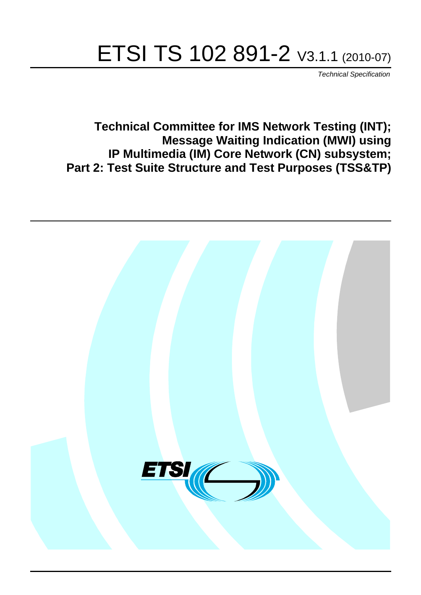# ETSI TS 102 891-2 V3.1.1 (2010-07)

*Technical Specification*

**Technical Committee for IMS Network Testing (INT); Message Waiting Indication (MWI) using IP Multimedia (IM) Core Network (CN) subsystem; Part 2: Test Suite Structure and Test Purposes (TSS&TP)**

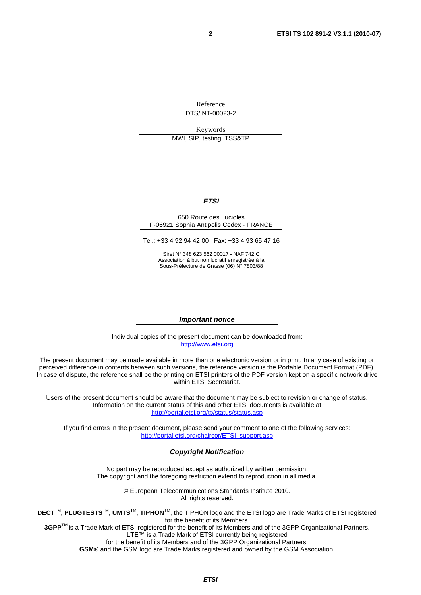Reference DTS/INT-00023-2

Keywords

MWI, SIP, testing, TSS&TP

#### *ETSI*

#### 650 Route des Lucioles F-06921 Sophia Antipolis Cedex - FRANCE

Tel.: +33 4 92 94 42 00 Fax: +33 4 93 65 47 16

Siret N° 348 623 562 00017 - NAF 742 C Association à but non lucratif enregistrée à la Sous-Préfecture de Grasse (06) N° 7803/88

#### *Important notice*

Individual copies of the present document can be downloaded from: [http://www.etsi.org](http://www.etsi.org/)

The present document may be made available in more than one electronic version or in print. In any case of existing or perceived difference in contents between such versions, the reference version is the Portable Document Format (PDF). In case of dispute, the reference shall be the printing on ETSI printers of the PDF version kept on a specific network drive within ETSI Secretariat.

Users of the present document should be aware that the document may be subject to revision or change of status. Information on the current status of this and other ETSI documents is available at <http://portal.etsi.org/tb/status/status.asp>

If you find errors in the present document, please send your comment to one of the following services: [http://portal.etsi.org/chaircor/ETSI\\_support.asp](http://portal.etsi.org/chaircor/ETSI_support.asp)

#### *Copyright Notification*

No part may be reproduced except as authorized by written permission. The copyright and the foregoing restriction extend to reproduction in all media.

> © European Telecommunications Standards Institute 2010. All rights reserved.

**DECT**TM, **PLUGTESTS**TM, **UMTS**TM, **TIPHON**TM, the TIPHON logo and the ETSI logo are Trade Marks of ETSI registered for the benefit of its Members.

**3GPP**TM is a Trade Mark of ETSI registered for the benefit of its Members and of the 3GPP Organizational Partners. **LTE**™ is a Trade Mark of ETSI currently being registered

for the benefit of its Members and of the 3GPP Organizational Partners.

**GSM**® and the GSM logo are Trade Marks registered and owned by the GSM Association.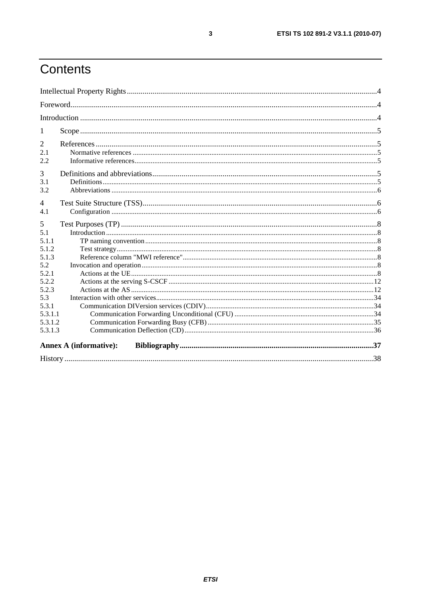# Contents

| 1                            |                               |  |
|------------------------------|-------------------------------|--|
| $\overline{2}$<br>2.1<br>2.2 |                               |  |
| 3<br>3.1<br>3.2              |                               |  |
| $\overline{4}$<br>4.1        |                               |  |
| 5                            |                               |  |
| 5.1                          |                               |  |
| 5.1.1                        |                               |  |
| 5.1.2                        |                               |  |
| 5.1.3                        |                               |  |
| 5.2<br>5.2.1                 |                               |  |
| 5.2.2                        |                               |  |
| 5.2.3                        |                               |  |
| 5.3                          |                               |  |
| 5.3.1                        |                               |  |
| 5.3.1.1                      |                               |  |
| 5.3.1.2                      |                               |  |
| 5.3.1.3                      |                               |  |
|                              | <b>Annex A (informative):</b> |  |
|                              |                               |  |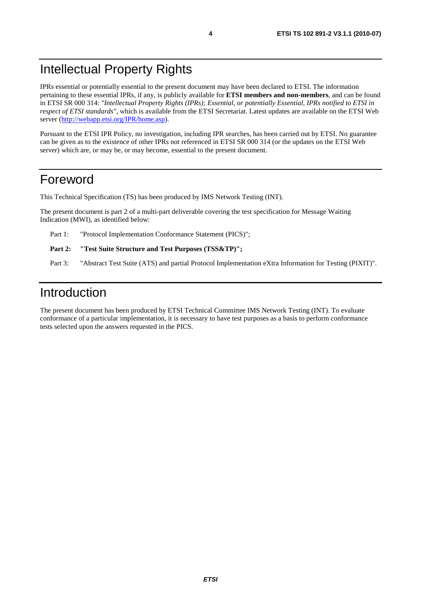# Intellectual Property Rights

IPRs essential or potentially essential to the present document may have been declared to ETSI. The information pertaining to these essential IPRs, if any, is publicly available for **ETSI members and non-members**, and can be found in ETSI SR 000 314: *"Intellectual Property Rights (IPRs); Essential, or potentially Essential, IPRs notified to ETSI in respect of ETSI standards"*, which is available from the ETSI Secretariat. Latest updates are available on the ETSI Web server ([http://webapp.etsi.org/IPR/home.asp\)](http://webapp.etsi.org/IPR/home.asp).

Pursuant to the ETSI IPR Policy, no investigation, including IPR searches, has been carried out by ETSI. No guarantee can be given as to the existence of other IPRs not referenced in ETSI SR 000 314 (or the updates on the ETSI Web server) which are, or may be, or may become, essential to the present document.

### Foreword

This Technical Specification (TS) has been produced by IMS Network Testing (INT).

The present document is part 2 of a multi-part deliverable covering the test specification for Message Waiting Indication (MWI), as identified below:

Part 1: "Protocol Implementation Conformance Statement (PICS)";

```
Part 2: "Test Suite Structure and Test Purposes (TSS&TP)";
```
Part 3: "Abstract Test Suite (ATS) and partial Protocol Implementation eXtra Information for Testing (PIXIT)".

# Introduction

The present document has been produced by ETSI Technical Committee IMS Network Testing (INT). To evaluate conformance of a particular implementation, it is necessary to have test purposes as a basis to perform conformance tests selected upon the answers requested in the PICS.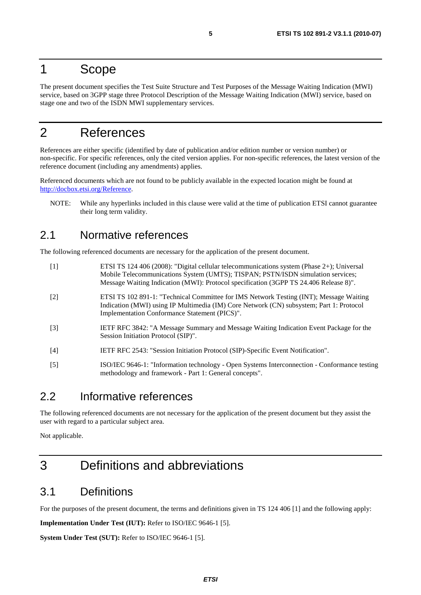### 1 Scope

The present document specifies the Test Suite Structure and Test Purposes of the Message Waiting Indication (MWI) service, based on 3GPP stage three Protocol Description of the Message Waiting Indication (MWI) service, based on stage one and two of the ISDN MWI supplementary services.

# 2 References

References are either specific (identified by date of publication and/or edition number or version number) or non-specific. For specific references, only the cited version applies. For non-specific references, the latest version of the reference document (including any amendments) applies.

Referenced documents which are not found to be publicly available in the expected location might be found at [http://docbox.etsi.org/Reference.](http://docbox.etsi.org/Reference)

NOTE: While any hyperlinks included in this clause were valid at the time of publication ETSI cannot guarantee their long term validity.

### 2.1 Normative references

The following referenced documents are necessary for the application of the present document.

| $[1]$ | ETSI TS 124 406 (2008): "Digital cellular telecommunications system (Phase 2+); Universal<br>Mobile Telecommunications System (UMTS); TISPAN; PSTN/ISDN simulation services;<br>Message Waiting Indication (MWI): Protocol specification (3GPP TS 24.406 Release 8)". |
|-------|-----------------------------------------------------------------------------------------------------------------------------------------------------------------------------------------------------------------------------------------------------------------------|
| $[2]$ | ETSI TS 102 891-1: "Technical Committee for IMS Network Testing (INT); Message Waiting<br>Indication (MWI) using IP Multimedia (IM) Core Network (CN) subsystem; Part 1: Protocol<br>Implementation Conformance Statement (PICS)".                                    |
| $[3]$ | <b>IETF RFC 3842: "A Message Summary and Message Waiting Indication Event Package for the</b><br>Session Initiation Protocol (SIP)".                                                                                                                                  |
| $[4]$ | IETF RFC 2543: "Session Initiation Protocol (SIP)-Specific Event Notification".                                                                                                                                                                                       |
| $[5]$ | ISO/IEC 9646-1: "Information technology - Open Systems Interconnection - Conformance testing<br>methodology and framework - Part 1: General concepts".                                                                                                                |

### 2.2 Informative references

The following referenced documents are not necessary for the application of the present document but they assist the user with regard to a particular subject area.

Not applicable.

# 3 Definitions and abbreviations

### 3.1 Definitions

For the purposes of the present document, the terms and definitions given in TS 124 406 [1] and the following apply:

**Implementation Under Test (IUT):** Refer to ISO/IEC 9646-1 [5].

**System Under Test (SUT):** Refer to ISO/IEC 9646-1 [5].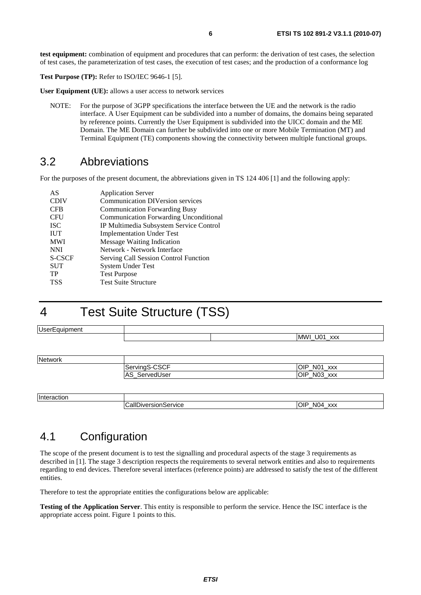**test equipment:** combination of equipment and procedures that can perform: the derivation of test cases, the selection of test cases, the parameterization of test cases, the execution of test cases; and the production of a conformance log

**Test Purpose (TP):** Refer to ISO/IEC 9646-1 [5].

**User Equipment (UE):** allows a user access to network services

NOTE: For the purpose of 3GPP specifications the interface between the UE and the network is the radio interface. A User Equipment can be subdivided into a number of domains, the domains being separated by reference points. Currently the User Equipment is subdivided into the UICC domain and the ME Domain. The ME Domain can further be subdivided into one or more Mobile Termination (MT) and Terminal Equipment (TE) components showing the connectivity between multiple functional groups.

### 3.2 Abbreviations

For the purposes of the present document, the abbreviations given in TS 124 406 [1] and the following apply:

| AS          | <b>Application Server</b>                     |
|-------------|-----------------------------------------------|
| <b>CDIV</b> | <b>Communication DIVersion services</b>       |
| <b>CFB</b>  | <b>Communication Forwarding Busy</b>          |
| <b>CFU</b>  | <b>Communication Forwarding Unconditional</b> |
| <b>ISC</b>  | IP Multimedia Subsystem Service Control       |
| <b>IUT</b>  | <b>Implementation Under Test</b>              |
| <b>MWI</b>  | <b>Message Waiting Indication</b>             |
| <b>NNI</b>  | Network - Network Interface                   |
| S-CSCF      | Serving Call Session Control Function         |
| <b>SUT</b>  | <b>System Under Test</b>                      |
| TP          | <b>Test Purpose</b>                           |
| <b>TSS</b>  | <b>Test Suite Structure</b>                   |

# 4 Test Suite Structure (TSS)

| MWI_U01_xxx                    |
|--------------------------------|
|                                |
|                                |
|                                |
| OIP_N01_xxx                    |
| OIP_N03_xxx                    |
| ServingS-CSCF<br>AS_ServedUser |

Interaction CallDiversionService OIP\_N04\_xxx

### 4.1 Configuration

The scope of the present document is to test the signalling and procedural aspects of the stage 3 requirements as described in [1]. The stage 3 description respects the requirements to several network entities and also to requirements regarding to end devices. Therefore several interfaces (reference points) are addressed to satisfy the test of the different entities.

Therefore to test the appropriate entities the configurations below are applicable:

**Testing of the Application Server**. This entity is responsible to perform the service. Hence the ISC interface is the appropriate access point. Figure 1 points to this.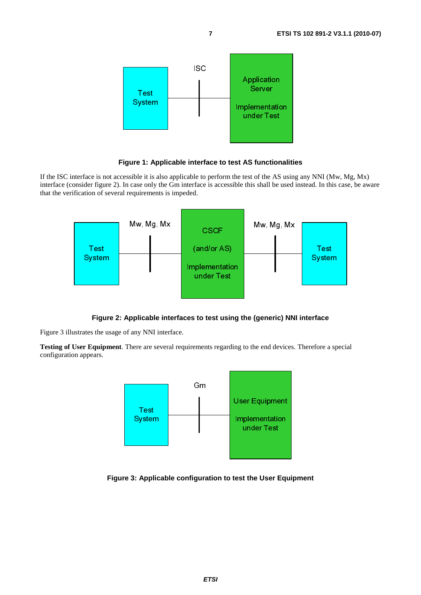



If the ISC interface is not accessible it is also applicable to perform the test of the AS using any NNI (Mw, Mg, Mx) interface (consider figure 2). In case only the Gm interface is accessible this shall be used instead. In this case, be aware that the verification of several requirements is impeded.



#### **Figure 2: Applicable interfaces to test using the (generic) NNI interface**

Figure 3 illustrates the usage of any NNI interface.

**Testing of User Equipment**. There are several requirements regarding to the end devices. Therefore a special configuration appears.



#### **Figure 3: Applicable configuration to test the User Equipment**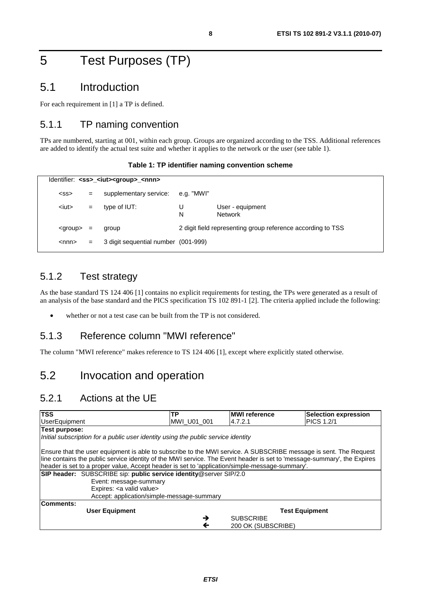# 5 Test Purposes (TP)

### 5.1 Introduction

For each requirement in [1] a TP is defined.

### 5.1.1 TP naming convention

TPs are numbered, starting at 001, within each group. Groups are organized according to the TSS. Additional references are added to identify the actual test suite and whether it applies to the network or the user (see table 1).

|  | Table 1: TP identifier naming convention scheme |  |  |  |
|--|-------------------------------------------------|--|--|--|
|--|-------------------------------------------------|--|--|--|

|                 | Identifier: <ss> <iut><group> <nnn></nnn></group></iut></ss> |                                     |            |                                                             |  |  |  |  |
|-----------------|--------------------------------------------------------------|-------------------------------------|------------|-------------------------------------------------------------|--|--|--|--|
| $<$ SS $>$      | $=$                                                          | supplementary service:              | e.g. "MWI" |                                                             |  |  |  |  |
| $it$            | $=$                                                          | type of IUT:                        | U<br>N     | User - equipment<br><b>Network</b>                          |  |  |  |  |
| <group></group> | $=$                                                          | group                               |            | 2 digit field representing group reference according to TSS |  |  |  |  |
| $<$ nnn $>$     | $=$                                                          | 3 digit sequential number (001-999) |            |                                                             |  |  |  |  |

### 5.1.2 Test strategy

As the base standard TS 124 406 [1] contains no explicit requirements for testing, the TPs were generated as a result of an analysis of the base standard and the PICS specification TS 102 891-1 [2]. The criteria applied include the following:

whether or not a test case can be built from the TP is not considered.

### 5.1.3 Reference column "MWI reference"

The column "MWI reference" makes reference to TS 124 406 [1], except where explicitly stated otherwise.

### 5.2 Invocation and operation

### 5.2.1 Actions at the UE

| <b>TSS</b>                                                                                                                                                                                                                                                                                                                                    | ТP                    | <b>IMWI reference</b> | <b>Selection expression</b> |  |  |  |  |
|-----------------------------------------------------------------------------------------------------------------------------------------------------------------------------------------------------------------------------------------------------------------------------------------------------------------------------------------------|-----------------------|-----------------------|-----------------------------|--|--|--|--|
| <b>UserEquipment</b>                                                                                                                                                                                                                                                                                                                          | MWI_U01_001           | 4.7.2.1               | <b>PICS 1.2/1</b>           |  |  |  |  |
| Test purpose:                                                                                                                                                                                                                                                                                                                                 |                       |                       |                             |  |  |  |  |
| Initial subscription for a public user identity using the public service identity                                                                                                                                                                                                                                                             |                       |                       |                             |  |  |  |  |
| Ensure that the user equipment is able to subscribe to the MWI service. A SUBSCRIBE message is sent. The Request<br>line contains the public service identity of the MWI service. The Event header is set to 'message-summary', the Expires<br>header is set to a proper value, Accept header is set to 'application/simple-message-summary'. |                       |                       |                             |  |  |  |  |
| SIP header: SUBSCRIBE sip: public service identity@server SIP/2.0                                                                                                                                                                                                                                                                             |                       |                       |                             |  |  |  |  |
| Event: message-summary                                                                                                                                                                                                                                                                                                                        |                       |                       |                             |  |  |  |  |
| Expires: < a valid value>                                                                                                                                                                                                                                                                                                                     |                       |                       |                             |  |  |  |  |
| Accept: application/simple-message-summary                                                                                                                                                                                                                                                                                                    |                       |                       |                             |  |  |  |  |
| Comments:                                                                                                                                                                                                                                                                                                                                     |                       |                       |                             |  |  |  |  |
| <b>User Equipment</b>                                                                                                                                                                                                                                                                                                                         | <b>Test Equipment</b> |                       |                             |  |  |  |  |
|                                                                                                                                                                                                                                                                                                                                               | →                     | <b>SUBSCRIBE</b>      |                             |  |  |  |  |
|                                                                                                                                                                                                                                                                                                                                               | ←                     | 200 OK (SUBSCRIBE)    |                             |  |  |  |  |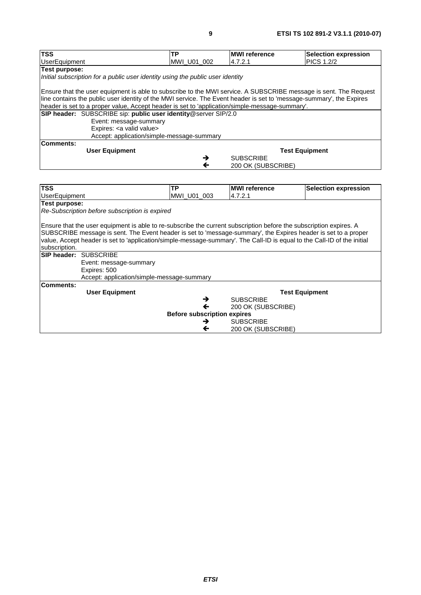| <b>TSS</b>                                                                                                              | <b>TP</b>    | <b>MWI</b> reference | <b>Selection expression</b> |  |  |  |  |
|-------------------------------------------------------------------------------------------------------------------------|--------------|----------------------|-----------------------------|--|--|--|--|
| <b>UserEquipment</b>                                                                                                    | MWI_U01_002  | 4.7.2.1              | <b>PICS 1.2/2</b>           |  |  |  |  |
| <b>Test purpose:</b>                                                                                                    |              |                      |                             |  |  |  |  |
|                                                                                                                         |              |                      |                             |  |  |  |  |
| Initial subscription for a public user identity using the public user identity                                          |              |                      |                             |  |  |  |  |
| Ensure that the user equipment is able to subscribe to the MWI service. A SUBSCRIBE message is sent. The Request        |              |                      |                             |  |  |  |  |
| line contains the public user identity of the MWI service. The Event header is set to 'message-summary', the Expires    |              |                      |                             |  |  |  |  |
|                                                                                                                         |              |                      |                             |  |  |  |  |
| header is set to a proper value, Accept header is set to 'application/simple-message-summary'.                          |              |                      |                             |  |  |  |  |
| SIP header: SUBSCRIBE sip: public user identity@server SIP/2.0                                                          |              |                      |                             |  |  |  |  |
| Event: message-summary                                                                                                  |              |                      |                             |  |  |  |  |
| Expires: < a valid value>                                                                                               |              |                      |                             |  |  |  |  |
| Accept: application/simple-message-summary                                                                              |              |                      |                             |  |  |  |  |
| <b>Comments:</b>                                                                                                        |              |                      |                             |  |  |  |  |
| <b>User Equipment</b>                                                                                                   |              |                      | <b>Test Equipment</b>       |  |  |  |  |
|                                                                                                                         | →            | <b>SUBSCRIBE</b>     |                             |  |  |  |  |
|                                                                                                                         | $\leftarrow$ | 200 OK (SUBSCRIBE)   |                             |  |  |  |  |
|                                                                                                                         |              |                      |                             |  |  |  |  |
| <b>TSS</b>                                                                                                              | <b>TP</b>    | <b>MWI</b> reference | <b>Selection expression</b> |  |  |  |  |
| <b>UserEquipment</b>                                                                                                    | MWI_U01_003  | 4.7.2.1              |                             |  |  |  |  |
| Test purpose:                                                                                                           |              |                      |                             |  |  |  |  |
| Re-Subscription before subscription is expired                                                                          |              |                      |                             |  |  |  |  |
|                                                                                                                         |              |                      |                             |  |  |  |  |
| Ensure that the user equipment is able to re-subscribe the current subscription before the subscription expires. A      |              |                      |                             |  |  |  |  |
| SUBSCRIBE message is sent. The Event header is set to 'message-summary', the Expires header is set to a proper          |              |                      |                             |  |  |  |  |
| value, Accept header is set to 'application/simple-message-summary'. The Call-ID is equal to the Call-ID of the initial |              |                      |                             |  |  |  |  |
| subscription.                                                                                                           |              |                      |                             |  |  |  |  |
| <b>SIP header: SUBSCRIBE</b>                                                                                            |              |                      |                             |  |  |  |  |
|                                                                                                                         |              |                      |                             |  |  |  |  |
| Event: message-summary                                                                                                  |              |                      |                             |  |  |  |  |

| Event: message-summary |   |                                            |                                    |
|------------------------|---|--------------------------------------------|------------------------------------|
| Expires: 500           |   |                                            |                                    |
|                        |   |                                            |                                    |
|                        |   |                                            |                                    |
| <b>User Equipment</b>  |   | <b>Test Equipment</b>                      |                                    |
|                        | → | <b>SUBSCRIBE</b>                           |                                    |
|                        | ← | 200 OK (SUBSCRIBE)                         |                                    |
|                        |   |                                            |                                    |
|                        | → | <b>SUBSCRIBE</b>                           |                                    |
|                        | ← | 200 OK (SUBSCRIBE)                         |                                    |
|                        |   | Accept: application/simple-message-summary | <b>Before subscription expires</b> |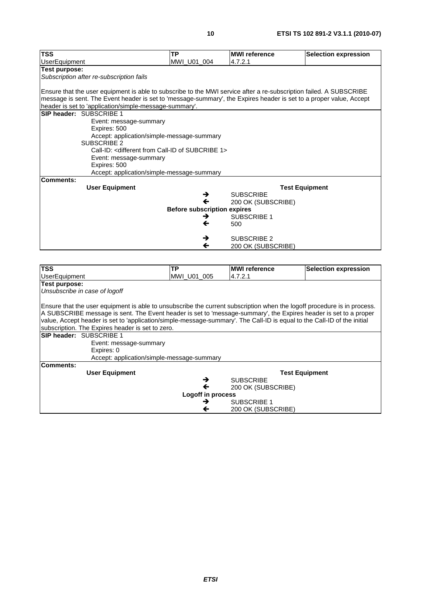| <b>TSS</b>                                                                                                              | <b>TP</b>                          | <b>MWI</b> reference | <b>Selection expression</b> |  |  |  |  |  |
|-------------------------------------------------------------------------------------------------------------------------|------------------------------------|----------------------|-----------------------------|--|--|--|--|--|
| <b>UserEquipment</b>                                                                                                    | MWI_U01_004                        | 4.7.2.1              |                             |  |  |  |  |  |
| <b>Test purpose:</b>                                                                                                    |                                    |                      |                             |  |  |  |  |  |
| Subscription after re-subscription fails                                                                                |                                    |                      |                             |  |  |  |  |  |
| Ensure that the user equipment is able to subscribe to the MWI service after a re-subscription failed. A SUBSCRIBE      |                                    |                      |                             |  |  |  |  |  |
| message is sent. The Event header is set to 'message-summary', the Expires header is set to a proper value, Accept      |                                    |                      |                             |  |  |  |  |  |
| header is set to 'application/simple-message-summary'.                                                                  |                                    |                      |                             |  |  |  |  |  |
| SIP header: SUBSCRIBE 1                                                                                                 |                                    |                      |                             |  |  |  |  |  |
| Event: message-summary                                                                                                  |                                    |                      |                             |  |  |  |  |  |
| Expires: 500                                                                                                            |                                    |                      |                             |  |  |  |  |  |
| Accept: application/simple-message-summary                                                                              |                                    |                      |                             |  |  |  |  |  |
| <b>SUBSCRIBE 2</b><br>Call-ID: < different from Call-ID of SUBCRIBE 1>                                                  |                                    |                      |                             |  |  |  |  |  |
|                                                                                                                         |                                    |                      |                             |  |  |  |  |  |
| Event: message-summary                                                                                                  |                                    |                      |                             |  |  |  |  |  |
| Expires: 500<br>Accept: application/simple-message-summary                                                              |                                    |                      |                             |  |  |  |  |  |
| <b>Comments:</b>                                                                                                        |                                    |                      |                             |  |  |  |  |  |
| <b>User Equipment</b>                                                                                                   |                                    |                      | <b>Test Equipment</b>       |  |  |  |  |  |
|                                                                                                                         | →                                  | <b>SUBSCRIBE</b>     |                             |  |  |  |  |  |
|                                                                                                                         | ←                                  | 200 OK (SUBSCRIBE)   |                             |  |  |  |  |  |
|                                                                                                                         | <b>Before subscription expires</b> |                      |                             |  |  |  |  |  |
|                                                                                                                         | →                                  | <b>SUBSCRIBE 1</b>   |                             |  |  |  |  |  |
|                                                                                                                         | ←                                  | 500                  |                             |  |  |  |  |  |
|                                                                                                                         |                                    |                      |                             |  |  |  |  |  |
|                                                                                                                         | →                                  | <b>SUBSCRIBE 2</b>   |                             |  |  |  |  |  |
|                                                                                                                         | ←                                  | 200 OK (SUBSCRIBE)   |                             |  |  |  |  |  |
|                                                                                                                         |                                    |                      |                             |  |  |  |  |  |
|                                                                                                                         |                                    |                      |                             |  |  |  |  |  |
| <b>TSS</b>                                                                                                              | TP                                 | <b>MWI</b> reference | <b>Selection expression</b> |  |  |  |  |  |
| <b>UserEquipment</b>                                                                                                    | MWI U01 005                        | 4.7.2.1              |                             |  |  |  |  |  |
| <b>Test purpose:</b>                                                                                                    |                                    |                      |                             |  |  |  |  |  |
| Unsubscribe in case of logoff                                                                                           |                                    |                      |                             |  |  |  |  |  |
|                                                                                                                         |                                    |                      |                             |  |  |  |  |  |
| Ensure that the user equipment is able to unsubscribe the current subscription when the logoff procedure is in process. |                                    |                      |                             |  |  |  |  |  |
| A SUBSCRIBE message is sent. The Event header is set to 'message-summary', the Expires header is set to a proper        |                                    |                      |                             |  |  |  |  |  |
| value, Accept header is set to 'application/simple-message-summary'. The Call-ID is equal to the Call-ID of the initial |                                    |                      |                             |  |  |  |  |  |
| subscription. The Expires header is set to zero.<br>SIP header: SUBSCRIBE 1                                             |                                    |                      |                             |  |  |  |  |  |
|                                                                                                                         |                                    |                      |                             |  |  |  |  |  |
| Event: message-summary                                                                                                  |                                    |                      |                             |  |  |  |  |  |
| Expires: 0                                                                                                              |                                    |                      |                             |  |  |  |  |  |
| Accept: application/simple-message-summary<br><b>Comments:</b>                                                          |                                    |                      |                             |  |  |  |  |  |
| <b>User Equipment</b>                                                                                                   |                                    |                      | <b>Test Equipment</b>       |  |  |  |  |  |
|                                                                                                                         | →                                  | <b>SUBSCRIBE</b>     |                             |  |  |  |  |  |
|                                                                                                                         | ←                                  | 200 OK (SUBSCRIBE)   |                             |  |  |  |  |  |
|                                                                                                                         | Logoff in process                  |                      |                             |  |  |  |  |  |
|                                                                                                                         | →                                  | SUBSCRIBE 1          |                             |  |  |  |  |  |
|                                                                                                                         | $\leftarrow$                       | 200 OK (SUBSCRIBE)   |                             |  |  |  |  |  |
|                                                                                                                         |                                    |                      |                             |  |  |  |  |  |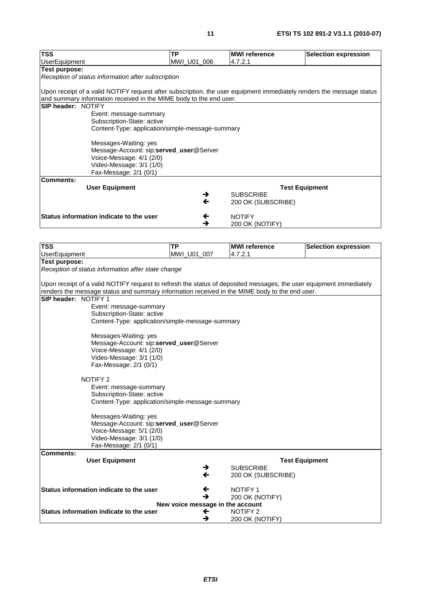| <b>TSS</b>                                                                                                           | <b>TP</b>   | <b>MWI reference</b>  | <b>Selection expression</b> |
|----------------------------------------------------------------------------------------------------------------------|-------------|-----------------------|-----------------------------|
| <b>UserEquipment</b>                                                                                                 | MWI_U01_006 | 4.7.2.1               |                             |
| Test purpose:                                                                                                        |             |                       |                             |
| Reception of status information after subscription                                                                   |             |                       |                             |
|                                                                                                                      |             |                       |                             |
| Upon receipt of a valid NOTIFY request after subscription, the user equipment immediately renders the message status |             |                       |                             |
| and summary information received in the MIME body to the end user.                                                   |             |                       |                             |
| SIP header: NOTIFY                                                                                                   |             |                       |                             |
| Event: message-summary                                                                                               |             |                       |                             |
| Subscription-State: active                                                                                           |             |                       |                             |
| Content-Type: application/simple-message-summary                                                                     |             |                       |                             |
|                                                                                                                      |             |                       |                             |
| Messages-Waiting: yes                                                                                                |             |                       |                             |
| Message-Account: sip:served_user@Server                                                                              |             |                       |                             |
| Voice-Message: 4/1 (2/0)                                                                                             |             |                       |                             |
| Video-Message: 3/1 (1/0)                                                                                             |             |                       |                             |
| Fax-Message: 2/1 (0/1)                                                                                               |             |                       |                             |
| <b>Comments:</b>                                                                                                     |             |                       |                             |
| <b>User Equipment</b>                                                                                                |             | <b>Test Equipment</b> |                             |
|                                                                                                                      | →           | <b>SUBSCRIBE</b>      |                             |
|                                                                                                                      | ←           | 200 OK (SUBSCRIBE)    |                             |
| Status information indicate to the user                                                                              |             | <b>NOTIFY</b>         |                             |
|                                                                                                                      | ←<br>→      | 200 OK (NOTIFY)       |                             |
|                                                                                                                      |             |                       |                             |

| <b>TSS</b>           |                                                                                                                    | <b>TP</b>                        | <b>MWI</b> reference               | <b>Selection expression</b> |  |  |  |
|----------------------|--------------------------------------------------------------------------------------------------------------------|----------------------------------|------------------------------------|-----------------------------|--|--|--|
| <b>UserEquipment</b> |                                                                                                                    | MWI_U01_007                      | 4.7.2.1                            |                             |  |  |  |
| Test purpose:        |                                                                                                                    |                                  |                                    |                             |  |  |  |
|                      | Reception of status information after state change                                                                 |                                  |                                    |                             |  |  |  |
|                      |                                                                                                                    |                                  |                                    |                             |  |  |  |
|                      | Upon receipt of a valid NOTIFY request to refresh the status of deposited messages, the user equipment immediately |                                  |                                    |                             |  |  |  |
| SIP header: NOTIFY 1 | renders the message status and summary information received in the MIME body to the end user.                      |                                  |                                    |                             |  |  |  |
|                      |                                                                                                                    |                                  |                                    |                             |  |  |  |
|                      | Event: message-summary<br>Subscription-State: active                                                               |                                  |                                    |                             |  |  |  |
|                      | Content-Type: application/simple-message-summary                                                                   |                                  |                                    |                             |  |  |  |
|                      |                                                                                                                    |                                  |                                    |                             |  |  |  |
|                      | Messages-Waiting: yes                                                                                              |                                  |                                    |                             |  |  |  |
|                      | Message-Account: sip:served_user@Server                                                                            |                                  |                                    |                             |  |  |  |
|                      | Voice-Message: 4/1 (2/0)                                                                                           |                                  |                                    |                             |  |  |  |
|                      | Video-Message: 3/1 (1/0)                                                                                           |                                  |                                    |                             |  |  |  |
|                      | Fax-Message: 2/1 (0/1)                                                                                             |                                  |                                    |                             |  |  |  |
|                      |                                                                                                                    |                                  |                                    |                             |  |  |  |
|                      | <b>NOTIFY 2</b>                                                                                                    |                                  |                                    |                             |  |  |  |
|                      | Event: message-summary                                                                                             |                                  |                                    |                             |  |  |  |
|                      | Subscription-State: active                                                                                         |                                  |                                    |                             |  |  |  |
|                      | Content-Type: application/simple-message-summary                                                                   |                                  |                                    |                             |  |  |  |
|                      | Messages-Waiting: yes                                                                                              |                                  |                                    |                             |  |  |  |
|                      | Message-Account: sip:served_user@Server                                                                            |                                  |                                    |                             |  |  |  |
|                      | Voice-Message: 5/1 (2/0)                                                                                           |                                  |                                    |                             |  |  |  |
|                      | Video-Message: 3/1 (1/0)                                                                                           |                                  |                                    |                             |  |  |  |
|                      | Fax-Message: 2/1 (0/1)                                                                                             |                                  |                                    |                             |  |  |  |
| <b>Comments:</b>     |                                                                                                                    |                                  |                                    |                             |  |  |  |
|                      | <b>User Equipment</b>                                                                                              |                                  | <b>Test Equipment</b>              |                             |  |  |  |
|                      |                                                                                                                    | →                                | <b>SUBSCRIBE</b>                   |                             |  |  |  |
|                      |                                                                                                                    | $\leftarrow$                     | 200 OK (SUBSCRIBE)                 |                             |  |  |  |
|                      | Status information indicate to the user                                                                            |                                  |                                    |                             |  |  |  |
|                      |                                                                                                                    | ←<br>→                           | <b>NOTIFY 1</b><br>200 OK (NOTIFY) |                             |  |  |  |
|                      |                                                                                                                    | New voice message in the account |                                    |                             |  |  |  |
|                      | Status information indicate to the user                                                                            | ←                                | <b>NOTIFY 2</b>                    |                             |  |  |  |
|                      | →<br>200 OK (NOTIFY)                                                                                               |                                  |                                    |                             |  |  |  |
|                      |                                                                                                                    |                                  |                                    |                             |  |  |  |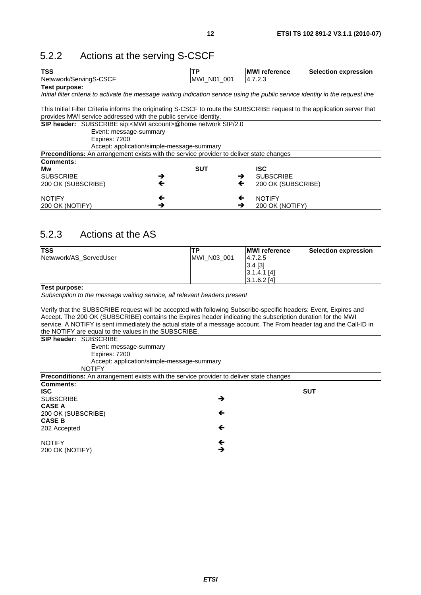# 5.2.2 Actions at the serving S-CSCF

| <b>TSS</b>                                                                                                                       | ТP          | <b>MWI</b> reference               | <b>Selection expression</b> |  |  |
|----------------------------------------------------------------------------------------------------------------------------------|-------------|------------------------------------|-----------------------------|--|--|
| Netwwork/ServingS-CSCF                                                                                                           | MWI N01 001 | 14.7.2.3                           |                             |  |  |
| <b>Test purpose:</b>                                                                                                             |             |                                    |                             |  |  |
| Initial filter criteria to activate the message waiting indication service using the public service identity in the request line |             |                                    |                             |  |  |
| This Initial Filter Criteria informs the originating S-CSCF to route the SUBSCRIBE request to the application server that        |             |                                    |                             |  |  |
| provides MWI service addressed with the public service identity.                                                                 |             |                                    |                             |  |  |
| SIP header: SUBSCRIBE sip: <mwi account="">@home network SIP/2.0</mwi>                                                           |             |                                    |                             |  |  |
| Event: message-summary                                                                                                           |             |                                    |                             |  |  |
| Expires: 7200                                                                                                                    |             |                                    |                             |  |  |
| Accept: application/simple-message-summary                                                                                       |             |                                    |                             |  |  |
| <b>Preconditions:</b> An arrangement exists with the service provider to deliver state changes                                   |             |                                    |                             |  |  |
| Comments:                                                                                                                        |             |                                    |                             |  |  |
| Mw                                                                                                                               | <b>SUT</b>  | <b>ISC</b>                         |                             |  |  |
| ISUBSCRIBE<br>→                                                                                                                  |             | <b>SUBSCRIBE</b><br>$\rightarrow$  |                             |  |  |
| $\leftarrow$<br>200 OK (SUBSCRIBE)                                                                                               |             | $\leftarrow$<br>200 OK (SUBSCRIBE) |                             |  |  |
| <b>NOTIFY</b><br>←                                                                                                               |             | <b>NOTIFY</b><br>←                 |                             |  |  |
| →<br> 200 OK (NOTIFY)                                                                                                            |             | 200 OK (NOTIFY)<br>→               |                             |  |  |

# 5.2.3 Actions at the AS

| <b>TSS</b>                                                                                                          | <b>TP</b>    | <b>MWI</b> reference | <b>Selection expression</b> |
|---------------------------------------------------------------------------------------------------------------------|--------------|----------------------|-----------------------------|
| Netwwork/AS_ServedUser                                                                                              | MWI N03 001  | 4.7.2.5              |                             |
|                                                                                                                     |              | $3.4$ [3]            |                             |
|                                                                                                                     |              | $3.1.4.1$ [4]        |                             |
|                                                                                                                     |              | $3.1.6.2$ [4]        |                             |
| Test purpose:                                                                                                       |              |                      |                             |
| Subscription to the message waiting service, all relevant headers present                                           |              |                      |                             |
| Verify that the SUBSCRIBE request will be accepted with following Subscribe-specific headers: Event, Expires and    |              |                      |                             |
| Accept. The 200 OK (SUBSCRIBE) contains the Expires header indicating the subscription duration for the MWI         |              |                      |                             |
| service. A NOTIFY is sent immediately the actual state of a message account. The From header tag and the Call-ID in |              |                      |                             |
| the NOTIFY are equal to the values in the SUBSCRIBE.                                                                |              |                      |                             |
| <b>SIP header: SUBSCRIBE</b>                                                                                        |              |                      |                             |
| Event: message-summary                                                                                              |              |                      |                             |
| Expires: 7200                                                                                                       |              |                      |                             |
| Accept: application/simple-message-summary                                                                          |              |                      |                             |
| <b>NOTIFY</b>                                                                                                       |              |                      |                             |
| <b>Preconditions:</b> An arrangement exists with the service provider to deliver state changes                      |              |                      |                             |
| Comments:                                                                                                           |              |                      |                             |
| <b>ISC</b>                                                                                                          |              |                      | <b>SUT</b>                  |
| <b>ISUBSCRIBE</b>                                                                                                   | →            |                      |                             |
| <b>CASE A</b>                                                                                                       |              |                      |                             |
| 200 OK (SUBSCRIBE)                                                                                                  | ←            |                      |                             |
| <b>CASE B</b>                                                                                                       |              |                      |                             |
| 202 Accepted                                                                                                        | $\leftarrow$ |                      |                             |
| <b>NOTIFY</b>                                                                                                       | ←            |                      |                             |
| 200 OK (NOTIFY)                                                                                                     | →            |                      |                             |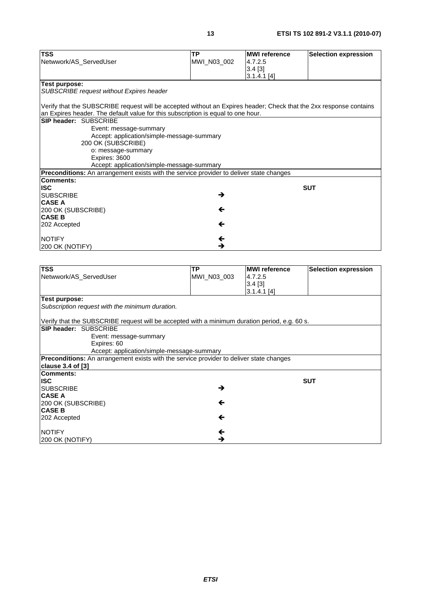| <b>TSS</b>                                                                                                         | <b>TP</b>                                  | <b>MWI</b> reference | <b>Selection expression</b> |
|--------------------------------------------------------------------------------------------------------------------|--------------------------------------------|----------------------|-----------------------------|
| Netwwork/AS ServedUser                                                                                             | MWI_N03_002                                | 4.7.2.5              |                             |
|                                                                                                                    |                                            | $3.4$ [3]            |                             |
|                                                                                                                    |                                            | $3.1.4.1$ [4]        |                             |
| Test purpose:                                                                                                      |                                            |                      |                             |
| SUBSCRIBE request without Expires header                                                                           |                                            |                      |                             |
| Verify that the SUBSCRIBE request will be accepted without an Expires header; Check that the 2xx response contains |                                            |                      |                             |
| an Expires header. The default value for this subscription is equal to one hour.                                   |                                            |                      |                             |
| SIP header: SUBSCRIBE                                                                                              |                                            |                      |                             |
| Event: message-summary                                                                                             |                                            |                      |                             |
|                                                                                                                    | Accept: application/simple-message-summary |                      |                             |
| 200 OK (SUBSCRIBE)                                                                                                 |                                            |                      |                             |
| o: message-summary                                                                                                 |                                            |                      |                             |
| Expires: 3600                                                                                                      |                                            |                      |                             |
|                                                                                                                    | Accept: application/simple-message-summary |                      |                             |
| <b>Preconditions:</b> An arrangement exists with the service provider to deliver state changes                     |                                            |                      |                             |
| <b>Comments:</b>                                                                                                   |                                            |                      |                             |
| <b>ISC</b>                                                                                                         |                                            |                      | <b>SUT</b>                  |
| <b>SUBSCRIBE</b>                                                                                                   | →                                          |                      |                             |
| <b>CASE A</b>                                                                                                      |                                            |                      |                             |
| 200 OK (SUBSCRIBE)                                                                                                 | ←                                          |                      |                             |
| <b>CASE B</b>                                                                                                      |                                            |                      |                             |
| 202 Accepted                                                                                                       | $\leftarrow$                               |                      |                             |
| <b>NOTIFY</b>                                                                                                      | $\leftarrow$                               |                      |                             |
| 200 OK (NOTIFY)                                                                                                    | →                                          |                      |                             |
|                                                                                                                    |                                            |                      |                             |
| <b>TSS</b>                                                                                                         | <b>TP</b>                                  | <b>MWI</b> reference | <b>Selection expression</b> |
| Netwwork/AS ServedUser                                                                                             | MWI N03 003                                | 4.7.2.5              |                             |

| 100                                                                                            | <u>ыс</u>    | <b>INIVYI I CI CI CI IUC</b> | <b>PORIECTION EXPIGSSION</b> |
|------------------------------------------------------------------------------------------------|--------------|------------------------------|------------------------------|
| Netwwork/AS_ServedUser                                                                         | MWI N03 003  | 4.7.2.5                      |                              |
|                                                                                                |              | $3.4$ [3]                    |                              |
|                                                                                                |              | $3.1.4.1$ [4]                |                              |
|                                                                                                |              |                              |                              |
| Test purpose:                                                                                  |              |                              |                              |
| Subscription request with the minimum duration.                                                |              |                              |                              |
|                                                                                                |              |                              |                              |
| Verify that the SUBSCRIBE request will be accepted with a minimum duration period, e.g. 60 s.  |              |                              |                              |
| <b>SIP header: SUBSCRIBE</b>                                                                   |              |                              |                              |
| Event: message-summary                                                                         |              |                              |                              |
| Expires: 60                                                                                    |              |                              |                              |
| Accept: application/simple-message-summary                                                     |              |                              |                              |
| <b>Preconditions:</b> An arrangement exists with the service provider to deliver state changes |              |                              |                              |
| <b>clause 3.4 of [3]</b>                                                                       |              |                              |                              |
| Comments:                                                                                      |              |                              |                              |
| <b>ISC</b>                                                                                     |              |                              | <b>SUT</b>                   |
|                                                                                                |              |                              |                              |
| <b>SUBSCRIBE</b>                                                                               | →            |                              |                              |
| <b>CASE A</b>                                                                                  |              |                              |                              |
| 200 OK (SUBSCRIBE)                                                                             | $\leftarrow$ |                              |                              |
| <b>CASE B</b>                                                                                  |              |                              |                              |
| 202 Accepted                                                                                   | $\leftarrow$ |                              |                              |
|                                                                                                |              |                              |                              |
| <b>NOTIFY</b>                                                                                  | ←            |                              |                              |
| 200 OK (NOTIFY)                                                                                | →            |                              |                              |
|                                                                                                |              |                              |                              |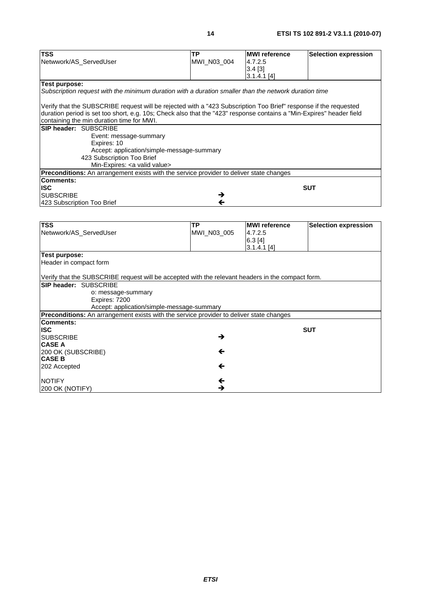| TSS                                                                                                                  | ΤP           | <b>MWI</b> reference     | <b>Selection expression</b> |
|----------------------------------------------------------------------------------------------------------------------|--------------|--------------------------|-----------------------------|
| Netwwork/AS_ServedUser                                                                                               | MWI_N03_004  | 4.7.2.5                  |                             |
|                                                                                                                      |              | 3.4 [3]                  |                             |
|                                                                                                                      |              | $3.1.4.1$ [4]            |                             |
| Test purpose:                                                                                                        |              |                          |                             |
| Subscription request with the minimum duration with a duration smaller than the network duration time                |              |                          |                             |
|                                                                                                                      |              |                          |                             |
| Verify that the SUBSCRIBE request will be rejected with a "423 Subscription Too Brief" response if the requested     |              |                          |                             |
| duration period is set too short, e.g. 10s; Check also that the "423" response contains a "Min-Expires" header field |              |                          |                             |
| containing the min duration time for MWI.                                                                            |              |                          |                             |
| SIP header: SUBSCRIBE                                                                                                |              |                          |                             |
| Event: message-summary                                                                                               |              |                          |                             |
| Expires: 10                                                                                                          |              |                          |                             |
| Accept: application/simple-message-summary                                                                           |              |                          |                             |
| 423 Subscription Too Brief                                                                                           |              |                          |                             |
| Min-Expires: < a valid value>                                                                                        |              |                          |                             |
| Preconditions: An arrangement exists with the service provider to deliver state changes                              |              |                          |                             |
| <b>Comments:</b>                                                                                                     |              |                          |                             |
| <b>ISC</b>                                                                                                           |              |                          | <b>SUT</b>                  |
| <b>SUBSCRIBE</b>                                                                                                     | →            |                          |                             |
| 423 Subscription Too Brief                                                                                           | $\leftarrow$ |                          |                             |
|                                                                                                                      |              |                          |                             |
|                                                                                                                      |              |                          |                             |
|                                                                                                                      |              |                          |                             |
| <b>TSS</b>                                                                                                           | <b>TP</b>    | <b>MWI</b> reference     | <b>Selection expression</b> |
| Netwwork/AS_ServedUser                                                                                               | MWI_N03_005  | 4.7.2.5                  |                             |
|                                                                                                                      |              |                          |                             |
|                                                                                                                      |              | 6.3 [4]<br>$3.1.4.1$ [4] |                             |
| <b>Test purpose:</b>                                                                                                 |              |                          |                             |
|                                                                                                                      |              |                          |                             |
| Header in compact form                                                                                               |              |                          |                             |
|                                                                                                                      |              |                          |                             |
| Verify that the SUBSCRIBE request will be accepted with the relevant headers in the compact form.                    |              |                          |                             |
| SIP header: SUBSCRIBE                                                                                                |              |                          |                             |
| o: message-summary                                                                                                   |              |                          |                             |
| Expires: 7200                                                                                                        |              |                          |                             |
| Accept: application/simple-message-summary                                                                           |              |                          |                             |
| Preconditions: An arrangement exists with the service provider to deliver state changes                              |              |                          |                             |
| <b>Comments:</b>                                                                                                     |              |                          |                             |
| <b>ISC</b>                                                                                                           |              |                          | <b>SUT</b>                  |
| <b>SUBSCRIBE</b>                                                                                                     | →            |                          |                             |
| CASE A                                                                                                               |              |                          |                             |
| 200 OK (SUBSCRIBE)                                                                                                   | ←            |                          |                             |
| <b>CASE B</b>                                                                                                        |              |                          |                             |
| 202 Accepted                                                                                                         | ←            |                          |                             |
|                                                                                                                      |              |                          |                             |
| <b>NOTIFY</b><br>200 OK (NOTIFY)                                                                                     | ←<br>→       |                          |                             |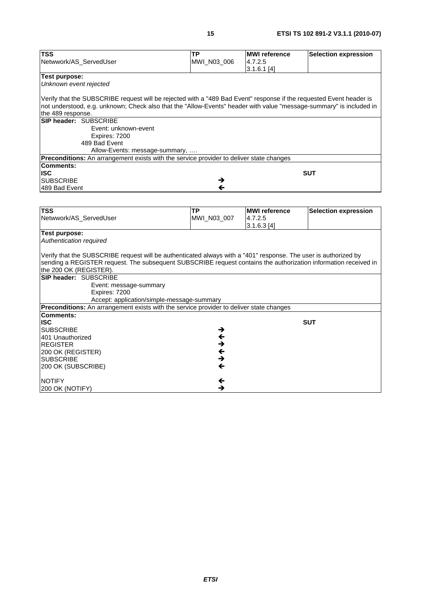| <b>TSS</b>                                                                                                          | <b>TP</b>               | <b>MWI</b> reference | <b>Selection expression</b> |
|---------------------------------------------------------------------------------------------------------------------|-------------------------|----------------------|-----------------------------|
| Netwwork/AS_ServedUser                                                                                              | MWI_N03_006             | 4.7.2.5              |                             |
|                                                                                                                     |                         | $3.1.6.1$ [4]        |                             |
| Test purpose:<br>Unknown event rejected                                                                             |                         |                      |                             |
|                                                                                                                     |                         |                      |                             |
| Verify that the SUBSCRIBE request will be rejected with a "489 Bad Event" response if the requested Event header is |                         |                      |                             |
| not understood, e.g. unknown; Check also that the "Allow-Events" header with value "message-summary" is included in |                         |                      |                             |
| the 489 response.                                                                                                   |                         |                      |                             |
| SIP header: SUBSCRIBE                                                                                               |                         |                      |                             |
| Event: unknown-event                                                                                                |                         |                      |                             |
| Expires: 7200                                                                                                       |                         |                      |                             |
| 489 Bad Event                                                                                                       |                         |                      |                             |
| Allow-Events: message-summary,                                                                                      |                         |                      |                             |
| Preconditions: An arrangement exists with the service provider to deliver state changes                             |                         |                      |                             |
| Comments:                                                                                                           |                         |                      |                             |
| <b>ISC</b>                                                                                                          |                         |                      | <b>SUT</b>                  |
| <b>SUBSCRIBE</b>                                                                                                    | →                       |                      |                             |
| 489 Bad Event                                                                                                       | $\leftarrow$            |                      |                             |
|                                                                                                                     |                         |                      |                             |
|                                                                                                                     |                         |                      |                             |
| <b>TSS</b>                                                                                                          | ΤP                      | <b>MWI</b> reference | <b>Selection expression</b> |
| Netwwork/AS_ServedUser                                                                                              | MWI_N03_007             | 4.7.2.5              |                             |
|                                                                                                                     |                         | 3.1.6.3[4]           |                             |
| <b>Test purpose:</b>                                                                                                |                         |                      |                             |
| Authentication required                                                                                             |                         |                      |                             |
|                                                                                                                     |                         |                      |                             |
| Verify that the SUBSCRIBE request will be authenticated always with a "401" response. The user is authorized by     |                         |                      |                             |
| sending a REGISTER request. The subsequent SUBSCRIBE request contains the authorization information received in     |                         |                      |                             |
| the 200 OK (REGISTER).                                                                                              |                         |                      |                             |
| <b>SIP header: SUBSCRIBE</b>                                                                                        |                         |                      |                             |
| Event: message-summary<br>Expires: 7200                                                                             |                         |                      |                             |
| Accept: application/simple-message-summary                                                                          |                         |                      |                             |
| Preconditions: An arrangement exists with the service provider to deliver state changes                             |                         |                      |                             |
| Comments:                                                                                                           |                         |                      |                             |
| <b>ISC</b>                                                                                                          |                         |                      | <b>SUT</b>                  |
| <b>SUBSCRIBE</b>                                                                                                    | →                       |                      |                             |
| 401 Unauthorized                                                                                                    | $\overline{\mathbf{t}}$ |                      |                             |
| <b>REGISTER</b>                                                                                                     | →                       |                      |                             |
| 200 OK (REGISTER)                                                                                                   | ←                       |                      |                             |
| <b>SUBSCRIBE</b>                                                                                                    | →                       |                      |                             |
|                                                                                                                     |                         |                      |                             |
|                                                                                                                     |                         |                      |                             |
| 200 OK (SUBSCRIBE)                                                                                                  | ←                       |                      |                             |
| <b>NOTIFY</b>                                                                                                       | ←                       |                      |                             |
| 200 OK (NOTIFY)                                                                                                     | →                       |                      |                             |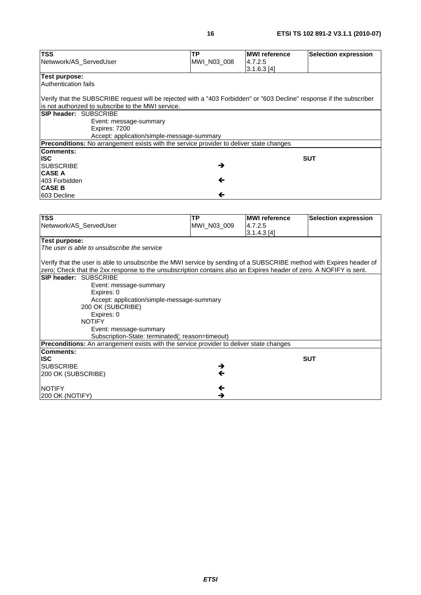| TSS                                                                                                                   | TP           | <b>MWI</b> reference   | <b>Selection expression</b> |
|-----------------------------------------------------------------------------------------------------------------------|--------------|------------------------|-----------------------------|
| Netwwork/AS_ServedUser                                                                                                | MWI_N03_008  | 4.7.2.5<br>3.1.6.3 [4] |                             |
| <b>Test purpose:</b>                                                                                                  |              |                        |                             |
| Authentication fails                                                                                                  |              |                        |                             |
|                                                                                                                       |              |                        |                             |
| Verify that the SUBSCRIBE request will be rejected with a "403 Forbidden" or "603 Decline" response if the subscriber |              |                        |                             |
| is not authorized to subscribe to the MWI service.                                                                    |              |                        |                             |
| SIP header: SUBSCRIBE                                                                                                 |              |                        |                             |
| Event: message-summary                                                                                                |              |                        |                             |
| Expires: 7200                                                                                                         |              |                        |                             |
| Accept: application/simple-message-summary                                                                            |              |                        |                             |
| Preconditions: No arrangement exists with the service provider to deliver state changes                               |              |                        |                             |
| <b>Comments:</b>                                                                                                      |              |                        |                             |
| <b>ISC</b>                                                                                                            |              |                        | <b>SUT</b>                  |
| <b>SUBSCRIBE</b>                                                                                                      | →            |                        |                             |
| <b>CASE A</b>                                                                                                         |              |                        |                             |
| 403 Forbidden                                                                                                         | ←            |                        |                             |
| <b>CASE B</b>                                                                                                         |              |                        |                             |
| 603 Decline                                                                                                           | $\leftarrow$ |                        |                             |
|                                                                                                                       |              |                        |                             |
| <b>TSS</b>                                                                                                            | TP           | <b>MWI</b> reference   | <b>Selection expression</b> |
| Netwwork/AS_ServedUser                                                                                                | MWI_N03_009  | 4.7.2.5                |                             |
|                                                                                                                       |              | 3.1.4.3 [4]            |                             |
| Test purpose:                                                                                                         |              |                        |                             |
| The user is able to unsubscribe the service                                                                           |              |                        |                             |
|                                                                                                                       |              |                        |                             |
| Verify that the user is able to unsubscribe the MWI service by sending of a SUBSCRIBE method with Expires header of   |              |                        |                             |
| zero; Check that the 2xx response to the unsubscription contains also an Expires header of zero. A NOFIFY is sent.    |              |                        |                             |
| SIP header: SUBSCRIBE                                                                                                 |              |                        |                             |
| Event: message-summary                                                                                                |              |                        |                             |
| Expires: 0                                                                                                            |              |                        |                             |
| Accept: application/simple-message-summary                                                                            |              |                        |                             |
| 200 OK (SUBCRIBE)<br>Expires: 0                                                                                       |              |                        |                             |
| <b>NOTIFY</b>                                                                                                         |              |                        |                             |
| Event: message-summary                                                                                                |              |                        |                             |
| Subscription-State: terminated(; reason=timeout)                                                                      |              |                        |                             |
| Preconditions: An arrangement exists with the service provider to deliver state changes                               |              |                        |                             |
| <b>Comments:</b>                                                                                                      |              |                        |                             |
| <b>ISC</b>                                                                                                            |              |                        | <b>SUT</b>                  |
| <b>SUBSCRIBE</b>                                                                                                      |              |                        |                             |
| 200 OK (SUBSCRIBE)                                                                                                    |              |                        |                             |
|                                                                                                                       |              |                        |                             |
| <b>NOTIFY</b>                                                                                                         |              |                        |                             |
| 200 OK (NOTIFY)                                                                                                       | →            |                        |                             |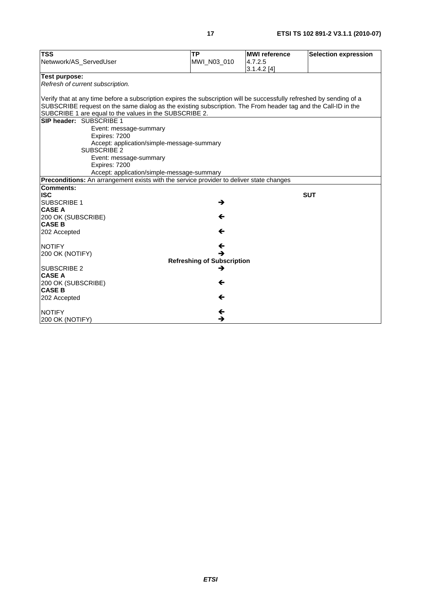| <b>TSS</b>                                                                                                                                                                                                                             | <b>TP</b>                         | <b>MWI</b> reference | <b>Selection expression</b> |
|----------------------------------------------------------------------------------------------------------------------------------------------------------------------------------------------------------------------------------------|-----------------------------------|----------------------|-----------------------------|
| Netwwork/AS_ServedUser                                                                                                                                                                                                                 | MWI_N03_010                       | 4.7.2.5              |                             |
|                                                                                                                                                                                                                                        |                                   | 3.1.4.2[4]           |                             |
| Test purpose:                                                                                                                                                                                                                          |                                   |                      |                             |
| Refresh of current subscription.                                                                                                                                                                                                       |                                   |                      |                             |
|                                                                                                                                                                                                                                        |                                   |                      |                             |
| Verify that at any time before a subscription expires the subscription will be successfully refreshed by sending of a<br>SUBSCRIBE request on the same dialog as the existing subscription. The From header tag and the Call-ID in the |                                   |                      |                             |
| SUBCRIBE 1 are equal to the values in the SUBSCRIBE 2.                                                                                                                                                                                 |                                   |                      |                             |
| SIP header: SUBSCRIBE 1                                                                                                                                                                                                                |                                   |                      |                             |
| Event: message-summary                                                                                                                                                                                                                 |                                   |                      |                             |
| Expires: 7200                                                                                                                                                                                                                          |                                   |                      |                             |
| Accept: application/simple-message-summary<br><b>SUBSCRIBE 2</b>                                                                                                                                                                       |                                   |                      |                             |
| Event: message-summary                                                                                                                                                                                                                 |                                   |                      |                             |
| Expires: 7200                                                                                                                                                                                                                          |                                   |                      |                             |
| Accept: application/simple-message-summary                                                                                                                                                                                             |                                   |                      |                             |
| Preconditions: An arrangement exists with the service provider to deliver state changes<br><b>Comments:</b>                                                                                                                            |                                   |                      |                             |
| <b>ISC</b>                                                                                                                                                                                                                             |                                   |                      | <b>SUT</b>                  |
| <b>SUBSCRIBE 1</b>                                                                                                                                                                                                                     | →                                 |                      |                             |
| <b>CASE A</b>                                                                                                                                                                                                                          |                                   |                      |                             |
| 200 OK (SUBSCRIBE)                                                                                                                                                                                                                     | ←                                 |                      |                             |
| <b>CASE B</b>                                                                                                                                                                                                                          |                                   |                      |                             |
| 202 Accepted                                                                                                                                                                                                                           | ←                                 |                      |                             |
| <b>NOTIFY</b>                                                                                                                                                                                                                          | ←                                 |                      |                             |
| 200 OK (NOTIFY)                                                                                                                                                                                                                        | →                                 |                      |                             |
|                                                                                                                                                                                                                                        | <b>Refreshing of Subscription</b> |                      |                             |
| <b>SUBSCRIBE 2</b>                                                                                                                                                                                                                     | →                                 |                      |                             |
| <b>CASE A</b>                                                                                                                                                                                                                          |                                   |                      |                             |
| 200 OK (SUBSCRIBE)                                                                                                                                                                                                                     | ←                                 |                      |                             |
| <b>CASE B</b>                                                                                                                                                                                                                          |                                   |                      |                             |
| 202 Accepted                                                                                                                                                                                                                           | ←                                 |                      |                             |
| <b>NOTIFY</b>                                                                                                                                                                                                                          | $\leftarrow$                      |                      |                             |
| 200 OK (NOTIFY)                                                                                                                                                                                                                        | →                                 |                      |                             |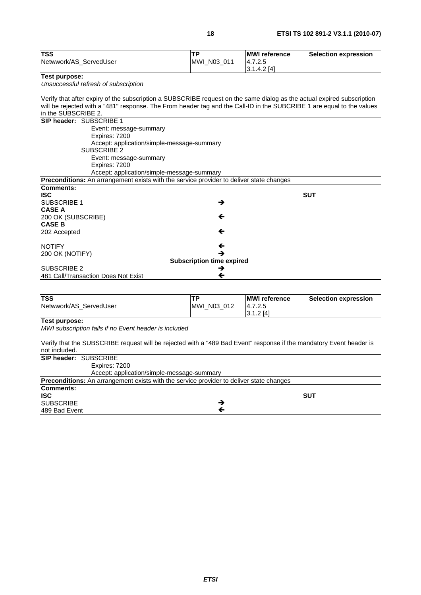| <b>TSS</b>                                                                                                             | <b>TP</b>                             | <b>MWI</b> reference | <b>Selection expression</b> |
|------------------------------------------------------------------------------------------------------------------------|---------------------------------------|----------------------|-----------------------------|
| Netwwork/AS_ServedUser                                                                                                 | MWI_N03_011                           | 4.7.2.5              |                             |
|                                                                                                                        |                                       | 3.1.4.2 [4]          |                             |
| Test purpose:                                                                                                          |                                       |                      |                             |
| Unsuccessful refresh of subscription                                                                                   |                                       |                      |                             |
|                                                                                                                        |                                       |                      |                             |
| Verify that after expiry of the subscription a SUBSCRIBE request on the same dialog as the actual expired subscription |                                       |                      |                             |
| will be rejected with a "481" response. The From header tag and the Call-ID in the SUBCRIBE 1 are equal to the values  |                                       |                      |                             |
| in the SUBSCRIBE 2.                                                                                                    |                                       |                      |                             |
| SIP header: SUBSCRIBE 1                                                                                                |                                       |                      |                             |
| Event: message-summary                                                                                                 |                                       |                      |                             |
| Expires: 7200                                                                                                          |                                       |                      |                             |
| Accept: application/simple-message-summary                                                                             |                                       |                      |                             |
| <b>SUBSCRIBE 2</b>                                                                                                     |                                       |                      |                             |
| Event: message-summary                                                                                                 |                                       |                      |                             |
| Expires: 7200<br>Accept: application/simple-message-summary                                                            |                                       |                      |                             |
| Preconditions: An arrangement exists with the service provider to deliver state changes                                |                                       |                      |                             |
| Comments:                                                                                                              |                                       |                      |                             |
| <b>ISC</b>                                                                                                             |                                       |                      | <b>SUT</b>                  |
| <b>SUBSCRIBE 1</b>                                                                                                     | →                                     |                      |                             |
| <b>CASE A</b>                                                                                                          |                                       |                      |                             |
| 200 OK (SUBSCRIBE)                                                                                                     | ←                                     |                      |                             |
| <b>CASE B</b>                                                                                                          |                                       |                      |                             |
| 202 Accepted                                                                                                           | ←                                     |                      |                             |
|                                                                                                                        |                                       |                      |                             |
| <b>NOTIFY</b>                                                                                                          | ←                                     |                      |                             |
| 200 OK (NOTIFY)                                                                                                        | →                                     |                      |                             |
| <b>SUBSCRIBE 2</b>                                                                                                     | <b>Subscription time expired</b><br>→ |                      |                             |
| 481 Call/Transaction Does Not Exist                                                                                    | ←                                     |                      |                             |
|                                                                                                                        |                                       |                      |                             |
|                                                                                                                        |                                       |                      |                             |
| <b>TSS</b>                                                                                                             | <b>TP</b>                             | <b>MWI</b> reference | <b>Selection expression</b> |
| Netwwork/AS_ServedUser                                                                                                 | MWI_N03_012                           | 4.7.2.5              |                             |
|                                                                                                                        |                                       | 3.1.2[4]             |                             |
| <b>Test purpose:</b>                                                                                                   |                                       |                      |                             |
| MWI subscription fails if no Event header is included                                                                  |                                       |                      |                             |
|                                                                                                                        |                                       |                      |                             |
| Verify that the SUBSCRIBE request will be rejected with a "489 Bad Event" response if the mandatory Event header is    |                                       |                      |                             |
| not included.                                                                                                          |                                       |                      |                             |

|                  | <b>SIP header: SUBSCRIBE</b>                                                                   |
|------------------|------------------------------------------------------------------------------------------------|
|                  | Expires: 7200                                                                                  |
|                  | Accept: application/simple-message-summary                                                     |
|                  | <b>Preconditions:</b> An arrangement exists with the service provider to deliver state changes |
| Comments:        |                                                                                                |
| <b>ISC</b>       | <b>SUT</b>                                                                                     |
| <b>SUBSCRIBE</b> |                                                                                                |
| 489 Bad Event    |                                                                                                |
|                  |                                                                                                |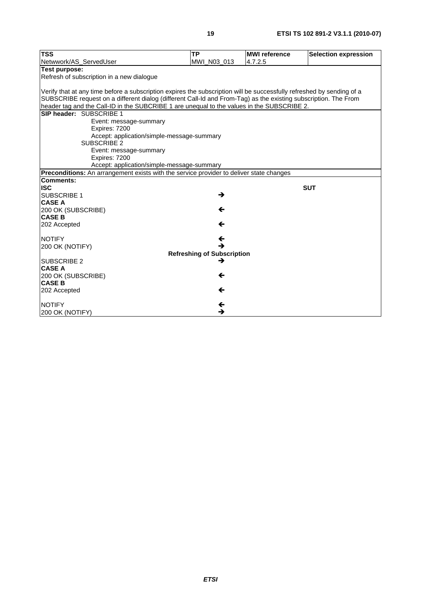| <b>TSS</b>                                                                                                            | <b>TP</b>                                                                                                             | <b>MWI</b> reference | <b>Selection expression</b> |  |  |  |
|-----------------------------------------------------------------------------------------------------------------------|-----------------------------------------------------------------------------------------------------------------------|----------------------|-----------------------------|--|--|--|
| Netwwork/AS ServedUser                                                                                                | MWI N03 013                                                                                                           | 4.7.2.5              |                             |  |  |  |
| Test purpose:                                                                                                         |                                                                                                                       |                      |                             |  |  |  |
| Refresh of subscription in a new dialogue                                                                             |                                                                                                                       |                      |                             |  |  |  |
|                                                                                                                       |                                                                                                                       |                      |                             |  |  |  |
|                                                                                                                       | Verify that at any time before a subscription expires the subscription will be successfully refreshed by sending of a |                      |                             |  |  |  |
| SUBSCRIBE request on a different dialog (different Call-Id and From-Tag) as the existing subscription. The From       |                                                                                                                       |                      |                             |  |  |  |
| header tag and the Call-ID in the SUBCRIBE 1 are unequal to the values in the SUBSCRIBE 2.<br>SIP header: SUBSCRIBE 1 |                                                                                                                       |                      |                             |  |  |  |
|                                                                                                                       |                                                                                                                       |                      |                             |  |  |  |
| Event: message-summary<br>Expires: 7200                                                                               |                                                                                                                       |                      |                             |  |  |  |
| Accept: application/simple-message-summary                                                                            |                                                                                                                       |                      |                             |  |  |  |
| <b>SUBSCRIBE 2</b>                                                                                                    |                                                                                                                       |                      |                             |  |  |  |
| Event: message-summary                                                                                                |                                                                                                                       |                      |                             |  |  |  |
| Expires: 7200                                                                                                         |                                                                                                                       |                      |                             |  |  |  |
| Accept: application/simple-message-summary                                                                            |                                                                                                                       |                      |                             |  |  |  |
| Preconditions: An arrangement exists with the service provider to deliver state changes                               |                                                                                                                       |                      |                             |  |  |  |
| <b>Comments:</b>                                                                                                      |                                                                                                                       |                      |                             |  |  |  |
| <b>ISC</b>                                                                                                            |                                                                                                                       |                      | <b>SUT</b>                  |  |  |  |
| SUBSCRIBE 1                                                                                                           | →                                                                                                                     |                      |                             |  |  |  |
| <b>CASE A</b>                                                                                                         |                                                                                                                       |                      |                             |  |  |  |
| 200 OK (SUBSCRIBE)<br><b>CASE B</b>                                                                                   | ←                                                                                                                     |                      |                             |  |  |  |
| 202 Accepted                                                                                                          | ←                                                                                                                     |                      |                             |  |  |  |
|                                                                                                                       |                                                                                                                       |                      |                             |  |  |  |
| <b>NOTIFY</b>                                                                                                         | ←                                                                                                                     |                      |                             |  |  |  |
| 200 OK (NOTIFY)                                                                                                       |                                                                                                                       |                      |                             |  |  |  |
|                                                                                                                       | <b>Refreshing of Subscription</b>                                                                                     |                      |                             |  |  |  |
| <b>SUBSCRIBE 2</b>                                                                                                    | →                                                                                                                     |                      |                             |  |  |  |
| <b>CASE A</b>                                                                                                         |                                                                                                                       |                      |                             |  |  |  |
| 200 OK (SUBSCRIBE)                                                                                                    | ←                                                                                                                     |                      |                             |  |  |  |
| <b>CASE B</b>                                                                                                         |                                                                                                                       |                      |                             |  |  |  |
| 202 Accepted                                                                                                          | ←                                                                                                                     |                      |                             |  |  |  |
| <b>NOTIFY</b>                                                                                                         | $\leftarrow$                                                                                                          |                      |                             |  |  |  |
| 200 OK (NOTIFY)                                                                                                       | →                                                                                                                     |                      |                             |  |  |  |
|                                                                                                                       |                                                                                                                       |                      |                             |  |  |  |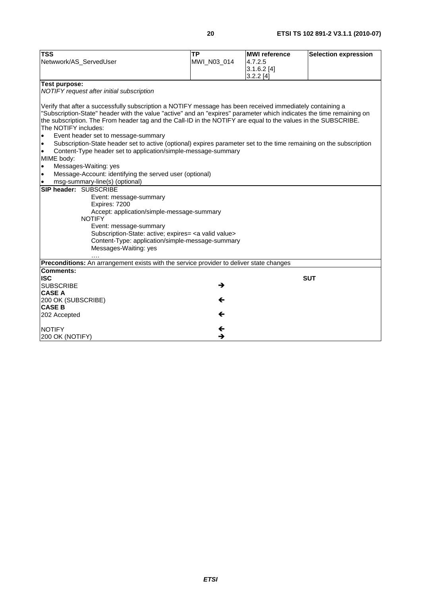| Netwwork/AS_ServedUser<br>MWI_N03_014<br>4.7.2.5<br>$3.1.6.2$ [4]<br>3.2.2[4]<br>Test purpose:<br>NOTIFY request after initial subscription<br>Verify that after a successfully subscription a NOTIFY message has been received immediately containing a<br>"Subscription-State" header with the value "active" and an "expires" parameter which indicates the time remaining on<br>the subscription. The From header tag and the Call-ID in the NOTIFY are equal to the values in the SUBSCRIBE.<br>The NOTIFY includes:<br>Event header set to message-summary<br>$\bullet$<br>Subscription-State header set to active (optional) expires parameter set to the time remaining on the subscription<br>$\bullet$<br>Content-Type header set to application/simple-message-summary<br>MIME body:<br>Messages-Waiting: yes<br>$\bullet$<br>Message-Account: identifying the served user (optional)<br>$\bullet$<br>msg-summary-line(s) (optional)<br><b>SIP header: SUBSCRIBE</b><br>Event: message-summary<br>Expires: 7200<br>Accept: application/simple-message-summary<br><b>NOTIFY</b><br>Event: message-summary<br>Subscription-State: active; expires= <a valid="" value=""><br/>Content-Type: application/simple-message-summary<br/>Messages-Waiting: yes<br/>Preconditions: An arrangement exists with the service provider to deliver state changes<br/>Comments:<br/><b>ISC</b><br/><b>SUT</b><br/><b>SUBSCRIBE</b><br/>→<br/><b>CASE A</b><br/>200 OK (SUBSCRIBE)<br/>←<br/><b>CASE B</b><br/>←<br/>202 Accepted<br/><math>\leftarrow</math><br/><b>NOTIFY</b><br/>→</a> | <b>TSS</b>      | $\overline{TP}$ | <b>MWI</b> reference | <b>Selection expression</b> |
|-------------------------------------------------------------------------------------------------------------------------------------------------------------------------------------------------------------------------------------------------------------------------------------------------------------------------------------------------------------------------------------------------------------------------------------------------------------------------------------------------------------------------------------------------------------------------------------------------------------------------------------------------------------------------------------------------------------------------------------------------------------------------------------------------------------------------------------------------------------------------------------------------------------------------------------------------------------------------------------------------------------------------------------------------------------------------------------------------------------------------------------------------------------------------------------------------------------------------------------------------------------------------------------------------------------------------------------------------------------------------------------------------------------------------------------------------------------------------------------------------------------------------------------------------------------------------------------|-----------------|-----------------|----------------------|-----------------------------|
|                                                                                                                                                                                                                                                                                                                                                                                                                                                                                                                                                                                                                                                                                                                                                                                                                                                                                                                                                                                                                                                                                                                                                                                                                                                                                                                                                                                                                                                                                                                                                                                     |                 |                 |                      |                             |
|                                                                                                                                                                                                                                                                                                                                                                                                                                                                                                                                                                                                                                                                                                                                                                                                                                                                                                                                                                                                                                                                                                                                                                                                                                                                                                                                                                                                                                                                                                                                                                                     |                 |                 |                      |                             |
|                                                                                                                                                                                                                                                                                                                                                                                                                                                                                                                                                                                                                                                                                                                                                                                                                                                                                                                                                                                                                                                                                                                                                                                                                                                                                                                                                                                                                                                                                                                                                                                     |                 |                 |                      |                             |
|                                                                                                                                                                                                                                                                                                                                                                                                                                                                                                                                                                                                                                                                                                                                                                                                                                                                                                                                                                                                                                                                                                                                                                                                                                                                                                                                                                                                                                                                                                                                                                                     |                 |                 |                      |                             |
|                                                                                                                                                                                                                                                                                                                                                                                                                                                                                                                                                                                                                                                                                                                                                                                                                                                                                                                                                                                                                                                                                                                                                                                                                                                                                                                                                                                                                                                                                                                                                                                     |                 |                 |                      |                             |
|                                                                                                                                                                                                                                                                                                                                                                                                                                                                                                                                                                                                                                                                                                                                                                                                                                                                                                                                                                                                                                                                                                                                                                                                                                                                                                                                                                                                                                                                                                                                                                                     |                 |                 |                      |                             |
|                                                                                                                                                                                                                                                                                                                                                                                                                                                                                                                                                                                                                                                                                                                                                                                                                                                                                                                                                                                                                                                                                                                                                                                                                                                                                                                                                                                                                                                                                                                                                                                     |                 |                 |                      |                             |
|                                                                                                                                                                                                                                                                                                                                                                                                                                                                                                                                                                                                                                                                                                                                                                                                                                                                                                                                                                                                                                                                                                                                                                                                                                                                                                                                                                                                                                                                                                                                                                                     |                 |                 |                      |                             |
|                                                                                                                                                                                                                                                                                                                                                                                                                                                                                                                                                                                                                                                                                                                                                                                                                                                                                                                                                                                                                                                                                                                                                                                                                                                                                                                                                                                                                                                                                                                                                                                     |                 |                 |                      |                             |
|                                                                                                                                                                                                                                                                                                                                                                                                                                                                                                                                                                                                                                                                                                                                                                                                                                                                                                                                                                                                                                                                                                                                                                                                                                                                                                                                                                                                                                                                                                                                                                                     |                 |                 |                      |                             |
|                                                                                                                                                                                                                                                                                                                                                                                                                                                                                                                                                                                                                                                                                                                                                                                                                                                                                                                                                                                                                                                                                                                                                                                                                                                                                                                                                                                                                                                                                                                                                                                     |                 |                 |                      |                             |
|                                                                                                                                                                                                                                                                                                                                                                                                                                                                                                                                                                                                                                                                                                                                                                                                                                                                                                                                                                                                                                                                                                                                                                                                                                                                                                                                                                                                                                                                                                                                                                                     |                 |                 |                      |                             |
|                                                                                                                                                                                                                                                                                                                                                                                                                                                                                                                                                                                                                                                                                                                                                                                                                                                                                                                                                                                                                                                                                                                                                                                                                                                                                                                                                                                                                                                                                                                                                                                     |                 |                 |                      |                             |
|                                                                                                                                                                                                                                                                                                                                                                                                                                                                                                                                                                                                                                                                                                                                                                                                                                                                                                                                                                                                                                                                                                                                                                                                                                                                                                                                                                                                                                                                                                                                                                                     |                 |                 |                      |                             |
|                                                                                                                                                                                                                                                                                                                                                                                                                                                                                                                                                                                                                                                                                                                                                                                                                                                                                                                                                                                                                                                                                                                                                                                                                                                                                                                                                                                                                                                                                                                                                                                     |                 |                 |                      |                             |
|                                                                                                                                                                                                                                                                                                                                                                                                                                                                                                                                                                                                                                                                                                                                                                                                                                                                                                                                                                                                                                                                                                                                                                                                                                                                                                                                                                                                                                                                                                                                                                                     |                 |                 |                      |                             |
|                                                                                                                                                                                                                                                                                                                                                                                                                                                                                                                                                                                                                                                                                                                                                                                                                                                                                                                                                                                                                                                                                                                                                                                                                                                                                                                                                                                                                                                                                                                                                                                     |                 |                 |                      |                             |
|                                                                                                                                                                                                                                                                                                                                                                                                                                                                                                                                                                                                                                                                                                                                                                                                                                                                                                                                                                                                                                                                                                                                                                                                                                                                                                                                                                                                                                                                                                                                                                                     |                 |                 |                      |                             |
|                                                                                                                                                                                                                                                                                                                                                                                                                                                                                                                                                                                                                                                                                                                                                                                                                                                                                                                                                                                                                                                                                                                                                                                                                                                                                                                                                                                                                                                                                                                                                                                     |                 |                 |                      |                             |
|                                                                                                                                                                                                                                                                                                                                                                                                                                                                                                                                                                                                                                                                                                                                                                                                                                                                                                                                                                                                                                                                                                                                                                                                                                                                                                                                                                                                                                                                                                                                                                                     |                 |                 |                      |                             |
|                                                                                                                                                                                                                                                                                                                                                                                                                                                                                                                                                                                                                                                                                                                                                                                                                                                                                                                                                                                                                                                                                                                                                                                                                                                                                                                                                                                                                                                                                                                                                                                     |                 |                 |                      |                             |
|                                                                                                                                                                                                                                                                                                                                                                                                                                                                                                                                                                                                                                                                                                                                                                                                                                                                                                                                                                                                                                                                                                                                                                                                                                                                                                                                                                                                                                                                                                                                                                                     |                 |                 |                      |                             |
|                                                                                                                                                                                                                                                                                                                                                                                                                                                                                                                                                                                                                                                                                                                                                                                                                                                                                                                                                                                                                                                                                                                                                                                                                                                                                                                                                                                                                                                                                                                                                                                     |                 |                 |                      |                             |
|                                                                                                                                                                                                                                                                                                                                                                                                                                                                                                                                                                                                                                                                                                                                                                                                                                                                                                                                                                                                                                                                                                                                                                                                                                                                                                                                                                                                                                                                                                                                                                                     |                 |                 |                      |                             |
|                                                                                                                                                                                                                                                                                                                                                                                                                                                                                                                                                                                                                                                                                                                                                                                                                                                                                                                                                                                                                                                                                                                                                                                                                                                                                                                                                                                                                                                                                                                                                                                     |                 |                 |                      |                             |
|                                                                                                                                                                                                                                                                                                                                                                                                                                                                                                                                                                                                                                                                                                                                                                                                                                                                                                                                                                                                                                                                                                                                                                                                                                                                                                                                                                                                                                                                                                                                                                                     |                 |                 |                      |                             |
|                                                                                                                                                                                                                                                                                                                                                                                                                                                                                                                                                                                                                                                                                                                                                                                                                                                                                                                                                                                                                                                                                                                                                                                                                                                                                                                                                                                                                                                                                                                                                                                     |                 |                 |                      |                             |
|                                                                                                                                                                                                                                                                                                                                                                                                                                                                                                                                                                                                                                                                                                                                                                                                                                                                                                                                                                                                                                                                                                                                                                                                                                                                                                                                                                                                                                                                                                                                                                                     |                 |                 |                      |                             |
|                                                                                                                                                                                                                                                                                                                                                                                                                                                                                                                                                                                                                                                                                                                                                                                                                                                                                                                                                                                                                                                                                                                                                                                                                                                                                                                                                                                                                                                                                                                                                                                     |                 |                 |                      |                             |
|                                                                                                                                                                                                                                                                                                                                                                                                                                                                                                                                                                                                                                                                                                                                                                                                                                                                                                                                                                                                                                                                                                                                                                                                                                                                                                                                                                                                                                                                                                                                                                                     |                 |                 |                      |                             |
|                                                                                                                                                                                                                                                                                                                                                                                                                                                                                                                                                                                                                                                                                                                                                                                                                                                                                                                                                                                                                                                                                                                                                                                                                                                                                                                                                                                                                                                                                                                                                                                     |                 |                 |                      |                             |
|                                                                                                                                                                                                                                                                                                                                                                                                                                                                                                                                                                                                                                                                                                                                                                                                                                                                                                                                                                                                                                                                                                                                                                                                                                                                                                                                                                                                                                                                                                                                                                                     |                 |                 |                      |                             |
|                                                                                                                                                                                                                                                                                                                                                                                                                                                                                                                                                                                                                                                                                                                                                                                                                                                                                                                                                                                                                                                                                                                                                                                                                                                                                                                                                                                                                                                                                                                                                                                     |                 |                 |                      |                             |
|                                                                                                                                                                                                                                                                                                                                                                                                                                                                                                                                                                                                                                                                                                                                                                                                                                                                                                                                                                                                                                                                                                                                                                                                                                                                                                                                                                                                                                                                                                                                                                                     |                 |                 |                      |                             |
|                                                                                                                                                                                                                                                                                                                                                                                                                                                                                                                                                                                                                                                                                                                                                                                                                                                                                                                                                                                                                                                                                                                                                                                                                                                                                                                                                                                                                                                                                                                                                                                     |                 |                 |                      |                             |
|                                                                                                                                                                                                                                                                                                                                                                                                                                                                                                                                                                                                                                                                                                                                                                                                                                                                                                                                                                                                                                                                                                                                                                                                                                                                                                                                                                                                                                                                                                                                                                                     | 200 OK (NOTIFY) |                 |                      |                             |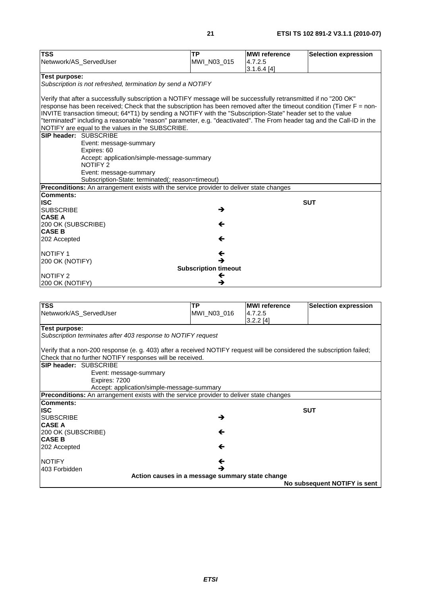| <b>TSS</b>                                                                                                             | <b>TP</b>   | <b>MWI</b> reference | <b>Selection expression</b> |  |
|------------------------------------------------------------------------------------------------------------------------|-------------|----------------------|-----------------------------|--|
| Netwwork/AS_ServedUser                                                                                                 | MWI_N03_015 | 4.7.2.5              |                             |  |
|                                                                                                                        |             | 3.1.6.4[4]           |                             |  |
| <b>Test purpose:</b>                                                                                                   |             |                      |                             |  |
| Subscription is not refreshed, termination by send a NOTIFY                                                            |             |                      |                             |  |
|                                                                                                                        |             |                      |                             |  |
| Verify that after a successfully subscription a NOTIFY message will be successfully retransmitted if no "200 OK"       |             |                      |                             |  |
| response has been received; Check that the subscription has been removed after the timeout condition (Timer F = non-   |             |                      |                             |  |
| INVITE transaction timeout; 64*T1) by sending a NOTIFY with the "Subscription-State" header set to the value           |             |                      |                             |  |
| "terminated" including a reasonable "reason" parameter, e.g. "deactivated". The From header tag and the Call-ID in the |             |                      |                             |  |
| NOTIFY are equal to the values in the SUBSCRIBE.                                                                       |             |                      |                             |  |
| SIP header: SUBSCRIBE                                                                                                  |             |                      |                             |  |
| Event: message-summary<br>Expires: 60                                                                                  |             |                      |                             |  |
| Accept: application/simple-message-summary                                                                             |             |                      |                             |  |
| <b>NOTIFY 2</b>                                                                                                        |             |                      |                             |  |
| Event: message-summary                                                                                                 |             |                      |                             |  |
| Subscription-State: terminated(; reason=timeout)                                                                       |             |                      |                             |  |
| Preconditions: An arrangement exists with the service provider to deliver state changes                                |             |                      |                             |  |
| <b>Comments:</b>                                                                                                       |             |                      |                             |  |
| <b>ISC</b>                                                                                                             |             |                      | <b>SUT</b>                  |  |
| <b>SUBSCRIBE</b>                                                                                                       | →           |                      |                             |  |
| <b>CASE A</b>                                                                                                          |             |                      |                             |  |
| 200 OK (SUBSCRIBE)                                                                                                     | ←           |                      |                             |  |
| <b>CASE B</b>                                                                                                          |             |                      |                             |  |
| 202 Accepted                                                                                                           | ←           |                      |                             |  |
| <b>NOTIFY 1</b>                                                                                                        | ←           |                      |                             |  |
| 200 OK (NOTIFY)                                                                                                        | →           |                      |                             |  |
| <b>Subscription timeout</b>                                                                                            |             |                      |                             |  |
| NOTIFY 2<br>←                                                                                                          |             |                      |                             |  |
| 200 OK (NOTIFY)                                                                                                        | →           |                      |                             |  |
|                                                                                                                        |             |                      |                             |  |
|                                                                                                                        |             |                      |                             |  |
| <b>TSS</b>                                                                                                             | <b>TP</b>   | <b>MWI</b> reference | <b>Selection expression</b> |  |
| Netwwork/AS_ServedUser                                                                                                 | MWI_N03_016 | 4.7.2.5              |                             |  |
|                                                                                                                        |             | $3.2.2$ [4]          |                             |  |
| <b>Test purpose:</b>                                                                                                   |             |                      |                             |  |

*Subscription terminates after 403 response to NOTIFY request* 

Verify that a non-200 response (e. g. 403) after a received NOTIFY request will be considered the subscription failed; Check that no further NOTIFY responses will be received.

| UICUN LIIGI IU IULIIICI INU III I I COPUISCO WIII DE ICCCIVEU.                                 |                                                 |                              |
|------------------------------------------------------------------------------------------------|-------------------------------------------------|------------------------------|
| <b>SIP header: SUBSCRIBE</b>                                                                   |                                                 |                              |
| Event: message-summary                                                                         |                                                 |                              |
| Expires: 7200                                                                                  |                                                 |                              |
| Accept: application/simple-message-summary                                                     |                                                 |                              |
| <b>Preconditions:</b> An arrangement exists with the service provider to deliver state changes |                                                 |                              |
| Comments:                                                                                      |                                                 |                              |
| IISC.                                                                                          |                                                 | <b>SUT</b>                   |
| <b>ISUBSCRIBE</b>                                                                              | →                                               |                              |
| <b>ICASE A</b>                                                                                 |                                                 |                              |
| 200 OK (SUBSCRIBE)                                                                             | ←                                               |                              |
| <b>CASE B</b>                                                                                  |                                                 |                              |
| 202 Accepted                                                                                   | ←                                               |                              |
|                                                                                                |                                                 |                              |
| <b>INOTIFY</b>                                                                                 | ←                                               |                              |
| 403 Forbidden                                                                                  | →                                               |                              |
|                                                                                                | Action causes in a message summary state change |                              |
|                                                                                                |                                                 | No subsequent NOTIFY is sent |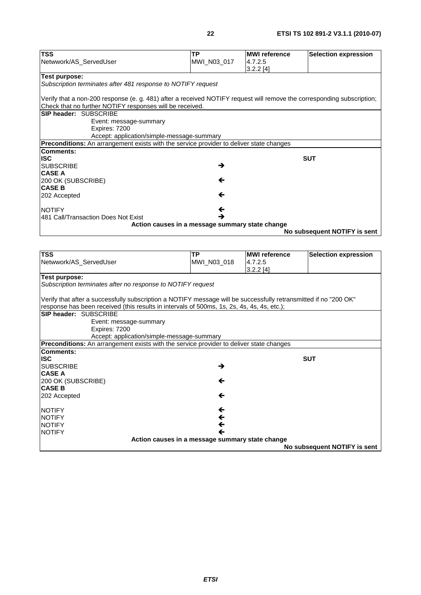**No subsequent NOTIFY is sent**

| <b>TSS</b>                                                                                                             | <b>TP</b>    | <b>MWI</b> reference                                                                                             | <b>Selection expression</b>  |  |  |
|------------------------------------------------------------------------------------------------------------------------|--------------|------------------------------------------------------------------------------------------------------------------|------------------------------|--|--|
| Netwwork/AS_ServedUser                                                                                                 | MWI_N03_017  | 4.7.2.5                                                                                                          |                              |  |  |
|                                                                                                                        |              | 3.2.2[4]                                                                                                         |                              |  |  |
| Test purpose:                                                                                                          |              |                                                                                                                  |                              |  |  |
| Subscription terminates after 481 response to NOTIFY request                                                           |              |                                                                                                                  |                              |  |  |
|                                                                                                                        |              |                                                                                                                  |                              |  |  |
| Verify that a non-200 response (e. g. 481) after a received NOTIFY request will remove the corresponding subscription; |              |                                                                                                                  |                              |  |  |
| Check that no further NOTIFY responses will be received.                                                               |              |                                                                                                                  |                              |  |  |
| SIP header: SUBSCRIBE                                                                                                  |              |                                                                                                                  |                              |  |  |
| Event: message-summary<br>Expires: 7200                                                                                |              |                                                                                                                  |                              |  |  |
| Accept: application/simple-message-summary                                                                             |              |                                                                                                                  |                              |  |  |
| Preconditions: An arrangement exists with the service provider to deliver state changes                                |              |                                                                                                                  |                              |  |  |
| <b>Comments:</b>                                                                                                       |              |                                                                                                                  |                              |  |  |
| <b>ISC</b>                                                                                                             |              |                                                                                                                  | <b>SUT</b>                   |  |  |
| <b>SUBSCRIBE</b>                                                                                                       | →            |                                                                                                                  |                              |  |  |
| <b>CASE A</b>                                                                                                          |              |                                                                                                                  |                              |  |  |
| 200 OK (SUBSCRIBE)                                                                                                     | ←            |                                                                                                                  |                              |  |  |
| <b>CASE B</b>                                                                                                          |              |                                                                                                                  |                              |  |  |
| 202 Accepted                                                                                                           | ←            |                                                                                                                  |                              |  |  |
| <b>NOTIFY</b>                                                                                                          | ←            |                                                                                                                  |                              |  |  |
| 481 Call/Transaction Does Not Exist                                                                                    | →            |                                                                                                                  |                              |  |  |
| Action causes in a message summary state change                                                                        |              |                                                                                                                  |                              |  |  |
|                                                                                                                        |              |                                                                                                                  | No subsequent NOTIFY is sent |  |  |
|                                                                                                                        |              |                                                                                                                  |                              |  |  |
|                                                                                                                        |              |                                                                                                                  |                              |  |  |
| <b>TSS</b>                                                                                                             | ТP           | <b>MWI</b> reference                                                                                             | <b>Selection expression</b>  |  |  |
| Netwwork/AS_ServedUser                                                                                                 | MWI_N03_018  | 4.7.2.5<br>$3.2.2$ [4]                                                                                           |                              |  |  |
| <b>Test purpose:</b>                                                                                                   |              |                                                                                                                  |                              |  |  |
| Subscription terminates after no response to NOTIFY request                                                            |              |                                                                                                                  |                              |  |  |
|                                                                                                                        |              |                                                                                                                  |                              |  |  |
|                                                                                                                        |              | Verify that after a successfully subscription a NOTIFY message will be successfully retransmitted if no "200 OK" |                              |  |  |
|                                                                                                                        |              |                                                                                                                  |                              |  |  |
| response has been received (this results in intervals of 500ms, 1s, 2s, 4s, 4s, 4s, etc.);                             |              |                                                                                                                  |                              |  |  |
| SIP header: SUBSCRIBE                                                                                                  |              |                                                                                                                  |                              |  |  |
| Event: message-summary                                                                                                 |              |                                                                                                                  |                              |  |  |
| Expires: 7200                                                                                                          |              |                                                                                                                  |                              |  |  |
| Accept: application/simple-message-summary                                                                             |              |                                                                                                                  |                              |  |  |
| Preconditions: An arrangement exists with the service provider to deliver state changes                                |              |                                                                                                                  |                              |  |  |
| <b>Comments:</b>                                                                                                       |              |                                                                                                                  |                              |  |  |
| <b>ISC</b>                                                                                                             |              |                                                                                                                  | <b>SUT</b>                   |  |  |
| <b>SUBSCRIBE</b><br><b>CASE A</b>                                                                                      | →            |                                                                                                                  |                              |  |  |
|                                                                                                                        | ←            |                                                                                                                  |                              |  |  |
| 200 OK (SUBSCRIBE)<br><b>CASE B</b>                                                                                    |              |                                                                                                                  |                              |  |  |
| 202 Accepted                                                                                                           | ←            |                                                                                                                  |                              |  |  |
|                                                                                                                        |              |                                                                                                                  |                              |  |  |
| <b>NOTIFY</b>                                                                                                          | $\leftarrow$ |                                                                                                                  |                              |  |  |
| <b>NOTIFY</b>                                                                                                          | $\leftarrow$ |                                                                                                                  |                              |  |  |
| <b>NOTIFY</b><br><b>NOTIFY</b>                                                                                         | ←<br>←       |                                                                                                                  |                              |  |  |

*ETSI*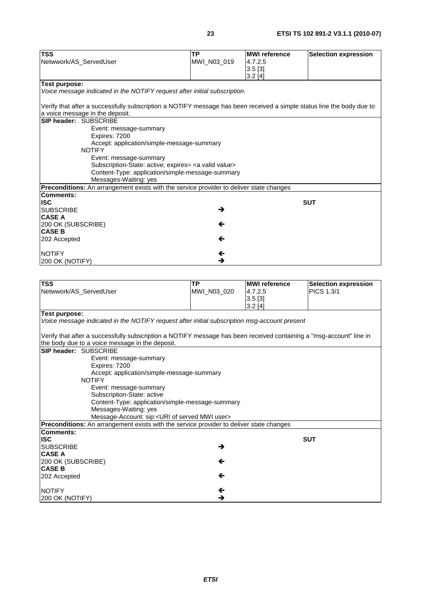| <b>TSS</b>                                                                                                            | <b>TP</b>                                                      | <b>MWI</b> reference   | <b>Selection expression</b> |
|-----------------------------------------------------------------------------------------------------------------------|----------------------------------------------------------------|------------------------|-----------------------------|
| Netwwork/AS_ServedUser                                                                                                | MWI_N03_019                                                    | 4.7.2.5                |                             |
|                                                                                                                       |                                                                | 3.5[3]                 |                             |
|                                                                                                                       |                                                                | 3.2[4]                 |                             |
| <b>Test purpose:</b>                                                                                                  |                                                                |                        |                             |
| Voice message indicated in the NOTIFY request after initial subscription.                                             |                                                                |                        |                             |
| Verify that after a successfully subscription a NOTIFY message has been received a simple status line the body due to |                                                                |                        |                             |
| a voice message in the deposit.                                                                                       |                                                                |                        |                             |
| <b>SIP header: SUBSCRIBE</b>                                                                                          |                                                                |                        |                             |
| Event: message-summary                                                                                                |                                                                |                        |                             |
| Expires: 7200                                                                                                         |                                                                |                        |                             |
|                                                                                                                       | Accept: application/simple-message-summary                     |                        |                             |
| <b>NOTIFY</b>                                                                                                         |                                                                |                        |                             |
| Event: message-summary                                                                                                |                                                                |                        |                             |
|                                                                                                                       | Subscription-State: active; expires= <a valid="" value=""></a> |                        |                             |
|                                                                                                                       | Content-Type: application/simple-message-summary               |                        |                             |
| Messages-Waiting: yes                                                                                                 |                                                                |                        |                             |
| Preconditions: An arrangement exists with the service provider to deliver state changes                               |                                                                |                        |                             |
| <b>Comments:</b>                                                                                                      |                                                                |                        |                             |
| <b>ISC</b>                                                                                                            |                                                                |                        | <b>SUT</b>                  |
| <b>SUBSCRIBE</b>                                                                                                      | →                                                              |                        |                             |
| <b>CASE A</b>                                                                                                         |                                                                |                        |                             |
| 200 OK (SUBSCRIBE)                                                                                                    | ←                                                              |                        |                             |
| <b>CASE B</b>                                                                                                         |                                                                |                        |                             |
| 202 Accepted                                                                                                          | ←                                                              |                        |                             |
| <b>NOTIFY</b>                                                                                                         | ←                                                              |                        |                             |
| 200 OK (NOTIFY)                                                                                                       | →                                                              |                        |                             |
|                                                                                                                       |                                                                |                        |                             |
|                                                                                                                       |                                                                |                        |                             |
|                                                                                                                       | <b>TP</b>                                                      | <b>MWI</b> reference   | <b>Selection expression</b> |
|                                                                                                                       |                                                                |                        |                             |
|                                                                                                                       | MWI_N03_020                                                    | 4.7.2.5                | <b>PICS 1.3/1</b>           |
| <b>TSS</b><br>Netwwork/AS_ServedUser                                                                                  |                                                                | $3.5$ [3]<br>$3.2$ [4] |                             |

*Voice message indicated in the NOTIFY request after initial subscription msg-account present* 

Verify that after a successfully subscription a NOTIFY message has been received containing a "msg-account" line in the body due to a voice message in the deposit.

|                    | the body due to a voice inessage in the deposit.                                               |            |
|--------------------|------------------------------------------------------------------------------------------------|------------|
|                    | <b>SIP header: SUBSCRIBE</b>                                                                   |            |
|                    | Event: message-summary                                                                         |            |
|                    | Expires: 7200                                                                                  |            |
|                    | Accept: application/simple-message-summary                                                     |            |
|                    | <b>NOTIFY</b>                                                                                  |            |
|                    | Event: message-summary                                                                         |            |
|                    | Subscription-State: active                                                                     |            |
|                    | Content-Type: application/simple-message-summary                                               |            |
|                    | Messages-Waiting: yes                                                                          |            |
|                    | Message-Account: sip: <uri mwi="" of="" served="" user=""></uri>                               |            |
|                    | <b>Preconditions:</b> An arrangement exists with the service provider to deliver state changes |            |
| <b>Comments:</b>   |                                                                                                |            |
| <b>ISC</b>         |                                                                                                | <b>SUT</b> |
| <b>SUBSCRIBE</b>   | →                                                                                              |            |
| <b>CASE A</b>      |                                                                                                |            |
| 200 OK (SUBSCRIBE) | ←                                                                                              |            |
| <b>CASE B</b>      |                                                                                                |            |
| 202 Accepted       | ←                                                                                              |            |
|                    |                                                                                                |            |
| <b>NOTIFY</b>      | ←                                                                                              |            |
| 200 OK (NOTIFY)    | →                                                                                              |            |
|                    |                                                                                                |            |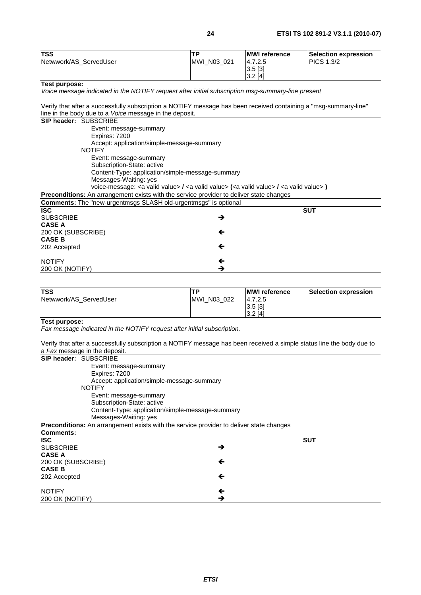| <b>TSS</b>                                                                                                                   | <b>TP</b>   | <b>MWI</b> reference | <b>Selection expression</b> |
|------------------------------------------------------------------------------------------------------------------------------|-------------|----------------------|-----------------------------|
| Netwwork/AS_ServedUser                                                                                                       | MWI_N03_021 | 4.7.2.5              | <b>PICS 1.3/2</b>           |
|                                                                                                                              |             | 3.5[3]               |                             |
|                                                                                                                              |             | 3.2[4]               |                             |
| <b>Test purpose:</b>                                                                                                         |             |                      |                             |
| Voice message indicated in the NOTIFY request after initial subscription msg-summary-line present                            |             |                      |                             |
|                                                                                                                              |             |                      |                             |
| Verify that after a successfully subscription a NOTIFY message has been received containing a "msg-summary-line"             |             |                      |                             |
| line in the body due to a Voice message in the deposit.                                                                      |             |                      |                             |
| SIP header: SUBSCRIBE                                                                                                        |             |                      |                             |
| Event: message-summary                                                                                                       |             |                      |                             |
| Expires: 7200                                                                                                                |             |                      |                             |
| Accept: application/simple-message-summary                                                                                   |             |                      |                             |
| <b>NOTIFY</b>                                                                                                                |             |                      |                             |
| Event: message-summary                                                                                                       |             |                      |                             |
| Subscription-State: active                                                                                                   |             |                      |                             |
| Content-Type: application/simple-message-summary                                                                             |             |                      |                             |
| Messages-Waiting: yes                                                                                                        |             |                      |                             |
| voice-message: <a valid="" value=""> / <a valid="" value=""> (<a valid="" value=""> / <a valid="" value="">)</a></a></a></a> |             |                      |                             |
| Preconditions: An arrangement exists with the service provider to deliver state changes                                      |             |                      |                             |
| <b>Comments:</b> The "new-urgentmsgs SLASH old-urgentmsgs" is optional                                                       |             |                      |                             |
| <b>ISC</b>                                                                                                                   |             |                      | <b>SUT</b>                  |
| <b>SUBSCRIBE</b>                                                                                                             | →           |                      |                             |
| <b>CASE A</b>                                                                                                                |             |                      |                             |
| 200 OK (SUBSCRIBE)                                                                                                           | ←           |                      |                             |
| <b>CASE B</b>                                                                                                                |             |                      |                             |
| 202 Accepted                                                                                                                 | ←           |                      |                             |
| <b>NOTIFY</b>                                                                                                                | ←           |                      |                             |
|                                                                                                                              | →           |                      |                             |
| 200 OK (NOTIFY)                                                                                                              |             |                      |                             |
|                                                                                                                              |             |                      |                             |
| <b>TSS</b>                                                                                                                   | <b>TP</b>   | <b>MWI</b> reference | <b>Selection expression</b> |
| Netwwork/AS_ServedUser                                                                                                       | MWI_N03_022 | 4.7.2.5              |                             |
|                                                                                                                              |             | 3.5[3]               |                             |
|                                                                                                                              |             | 3.2[4]               |                             |
| <b>Test purpose:</b>                                                                                                         |             |                      |                             |
| Fax message indicated in the NOTIFY request after initial subscription.                                                      |             |                      |                             |
|                                                                                                                              |             |                      |                             |
| Verify that after a successfully subscription a NOTIFY message has been received a simple status line the body due to        |             |                      |                             |
| a Fax message in the deposit.                                                                                                |             |                      |                             |
| SIP header: SUBSCRIBE                                                                                                        |             |                      |                             |
| Event: message-summary                                                                                                       |             |                      |                             |
| Expires: 7200                                                                                                                |             |                      |                             |
| Accept: application/simple-message-summary                                                                                   |             |                      |                             |

| Expires: 7200                                                                                  |                                                  |            |
|------------------------------------------------------------------------------------------------|--------------------------------------------------|------------|
| Accept: application/simple-message-summary                                                     |                                                  |            |
| <b>NOTIFY</b>                                                                                  |                                                  |            |
| Event: message-summary                                                                         |                                                  |            |
| Subscription-State: active                                                                     |                                                  |            |
|                                                                                                | Content-Type: application/simple-message-summary |            |
| Messages-Waiting: yes                                                                          |                                                  |            |
| <b>Preconditions:</b> An arrangement exists with the service provider to deliver state changes |                                                  |            |
| Comments:                                                                                      |                                                  |            |
| <b>ISC</b>                                                                                     |                                                  | <b>SUT</b> |
| <b>SUBSCRIBE</b>                                                                               | →                                                |            |
| <b>CASE A</b>                                                                                  |                                                  |            |
| 200 OK (SUBSCRIBE)                                                                             | ←                                                |            |
| <b>CASE B</b>                                                                                  |                                                  |            |
| 202 Accepted                                                                                   | $\leftarrow$                                     |            |
|                                                                                                |                                                  |            |
| <b>NOTIFY</b>                                                                                  | ←                                                |            |
| 200 OK (NOTIFY)                                                                                | →                                                |            |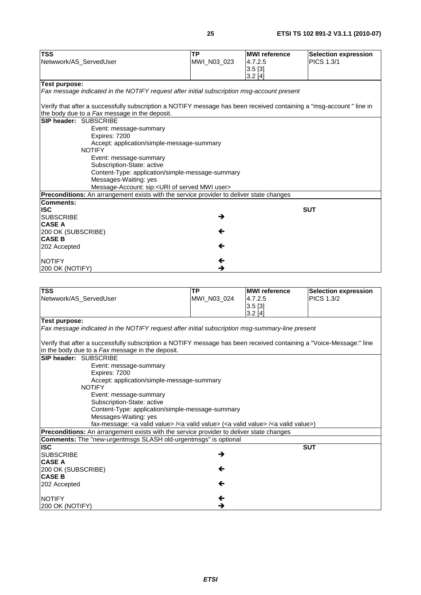| <b>TSS</b><br>Netwwork/AS_ServedUser                                                                                                                                  | <b>TP</b><br>MWI_N03_023 | <b>MWI</b> reference<br>4.7.2.5 | <b>Selection expression</b><br><b>PICS 1.3/1</b> |  |  |
|-----------------------------------------------------------------------------------------------------------------------------------------------------------------------|--------------------------|---------------------------------|--------------------------------------------------|--|--|
|                                                                                                                                                                       |                          | 3.5[3]<br>3.2[4]                |                                                  |  |  |
| Test purpose:                                                                                                                                                         |                          |                                 |                                                  |  |  |
| Fax message indicated in the NOTIFY request after initial subscription msg-account present                                                                            |                          |                                 |                                                  |  |  |
| Verify that after a successfully subscription a NOTIFY message has been received containing a "msg-account " line in<br>the body due to a Fax message in the deposit. |                          |                                 |                                                  |  |  |
| SIP header: SUBSCRIBE                                                                                                                                                 |                          |                                 |                                                  |  |  |
| Event: message-summary<br>Expires: 7200                                                                                                                               |                          |                                 |                                                  |  |  |
| Accept: application/simple-message-summary<br><b>NOTIFY</b>                                                                                                           |                          |                                 |                                                  |  |  |
| Event: message-summary                                                                                                                                                |                          |                                 |                                                  |  |  |
| Subscription-State: active<br>Content-Type: application/simple-message-summary                                                                                        |                          |                                 |                                                  |  |  |
| Messages-Waiting: yes                                                                                                                                                 |                          |                                 |                                                  |  |  |
| Message-Account: sip: <uri mwi="" of="" served="" user=""></uri>                                                                                                      |                          |                                 |                                                  |  |  |
| Preconditions: An arrangement exists with the service provider to deliver state changes                                                                               |                          |                                 |                                                  |  |  |
| <b>Comments:</b>                                                                                                                                                      |                          |                                 |                                                  |  |  |
| <b>ISC</b>                                                                                                                                                            |                          |                                 | <b>SUT</b>                                       |  |  |
| <b>SUBSCRIBE</b><br><b>CASE A</b>                                                                                                                                     | →                        |                                 |                                                  |  |  |
| 200 OK (SUBSCRIBE)<br><b>CASE B</b>                                                                                                                                   | ←                        |                                 |                                                  |  |  |
| 202 Accepted                                                                                                                                                          | ←                        |                                 |                                                  |  |  |
| <b>NOTIFY</b><br>200 OK (NOTIFY)                                                                                                                                      | ←<br>→                   |                                 |                                                  |  |  |
|                                                                                                                                                                       |                          |                                 |                                                  |  |  |
|                                                                                                                                                                       |                          |                                 |                                                  |  |  |
| <b>TSS</b><br>Netwwork/AS_ServedUser                                                                                                                                  | <b>TP</b><br>MWI_N03_024 | <b>MWI</b> reference<br>4.7.2.5 | <b>Selection expression</b><br><b>PICS 1.3/2</b> |  |  |
|                                                                                                                                                                       |                          | 3.5[3]                          |                                                  |  |  |
| Test purpose:                                                                                                                                                         |                          | $3.2$ [4]                       |                                                  |  |  |
| Fax message indicated in the NOTIFY request after initial subscription msg-summary-line present                                                                       |                          |                                 |                                                  |  |  |
| Verify that after a successfully subscription a NOTIFY message has been received containing a "Voice-Message:" line                                                   |                          |                                 |                                                  |  |  |
| in the body due to a Fax message in the deposit.<br>SIP header: SUBSCRIBE                                                                                             |                          |                                 |                                                  |  |  |
| Event: message-summary<br>Expires: 7200                                                                                                                               |                          |                                 |                                                  |  |  |
| Accept: application/simple-message-summary<br><b>NOTIFY</b>                                                                                                           |                          |                                 |                                                  |  |  |
| Event: message-summary                                                                                                                                                |                          |                                 |                                                  |  |  |
| Subscription-State: active                                                                                                                                            |                          |                                 |                                                  |  |  |
| Content-Type: application/simple-message-summary                                                                                                                      |                          |                                 |                                                  |  |  |
| Messages-Waiting: yes                                                                                                                                                 |                          |                                 |                                                  |  |  |
| fax-message: <a valid="" value=""> /<a valid="" value=""> (<a valid="" value=""> /<a valid="" value="">)</a></a></a></a>                                              |                          |                                 |                                                  |  |  |
| Preconditions: An arrangement exists with the service provider to deliver state changes<br><b>Comments:</b> The "new-urgentmsgs SLASH old-urgentmsgs" is optional     |                          |                                 |                                                  |  |  |
| <b>ISC</b>                                                                                                                                                            |                          |                                 | <b>SUT</b>                                       |  |  |
| <b>SUBSCRIBE</b><br><b>CASE A</b>                                                                                                                                     | →                        |                                 |                                                  |  |  |
| 200 OK (SUBSCRIBE)<br><b>CASE B</b>                                                                                                                                   | ←                        |                                 |                                                  |  |  |
| 202 Accepted                                                                                                                                                          | ←                        |                                 |                                                  |  |  |
| <b>NOTIFY</b>                                                                                                                                                         | ←                        |                                 |                                                  |  |  |
| 200 OK (NOTIFY)                                                                                                                                                       | →                        |                                 |                                                  |  |  |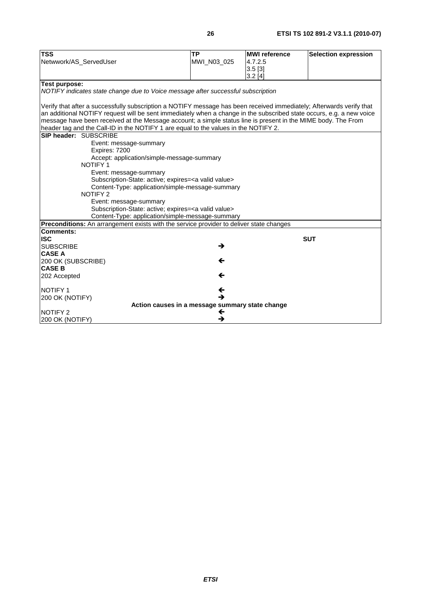| <b>TSS</b>                                                                                                           | <b>TP</b>     | <b>MWI</b> reference | <b>Selection expression</b> |
|----------------------------------------------------------------------------------------------------------------------|---------------|----------------------|-----------------------------|
| Netwwork/AS_ServedUser                                                                                               | MWI_N03_025   | 4.7.2.5              |                             |
|                                                                                                                      |               | $3.5$ [3]            |                             |
|                                                                                                                      |               | 3.2[4]               |                             |
| <b>Test purpose:</b>                                                                                                 |               |                      |                             |
| NOTIFY indicates state change due to Voice message after successful subscription                                     |               |                      |                             |
| Verify that after a successfully subscription a NOTIFY message has been received immediately; Afterwards verify that |               |                      |                             |
| an additional NOTIFY request will be sent immediately when a change in the subscribed state occurs, e.g. a new voice |               |                      |                             |
| message have been received at the Message account; a simple status line is present in the MIME body. The From        |               |                      |                             |
| header tag and the Call-ID in the NOTIFY 1 are equal to the values in the NOTIFY 2.                                  |               |                      |                             |
| SIP header: SUBSCRIBE                                                                                                |               |                      |                             |
| Event: message-summary<br>Expires: 7200                                                                              |               |                      |                             |
| Accept: application/simple-message-summary                                                                           |               |                      |                             |
| <b>NOTIFY 1</b>                                                                                                      |               |                      |                             |
| Event: message-summary                                                                                               |               |                      |                             |
| Subscription-State: active; expires= <a valid="" value=""></a>                                                       |               |                      |                             |
| Content-Type: application/simple-message-summary                                                                     |               |                      |                             |
| <b>NOTIFY 2</b>                                                                                                      |               |                      |                             |
| Event: message-summary                                                                                               |               |                      |                             |
| Subscription-State: active; expires= <a valid="" value=""></a>                                                       |               |                      |                             |
| Content-Type: application/simple-message-summary                                                                     |               |                      |                             |
| <b>Preconditions:</b> An arrangement exists with the service provider to deliver state changes                       |               |                      |                             |
| <b>Comments:</b>                                                                                                     |               |                      |                             |
| <b>ISC</b>                                                                                                           |               |                      | <b>SUT</b>                  |
| <b>SUBSCRIBE</b>                                                                                                     | $\rightarrow$ |                      |                             |
| <b>CASE A</b>                                                                                                        |               |                      |                             |
| 200 OK (SUBSCRIBE)                                                                                                   | ←             |                      |                             |
| <b>CASE B</b>                                                                                                        |               |                      |                             |
| 202 Accepted                                                                                                         | ←             |                      |                             |
| <b>NOTIFY 1</b>                                                                                                      | ←             |                      |                             |
| 200 OK (NOTIFY)                                                                                                      | →             |                      |                             |
| Action causes in a message summary state change                                                                      |               |                      |                             |
| <b>NOTIFY 2</b>                                                                                                      | ←             |                      |                             |
| 200 OK (NOTIFY)                                                                                                      | →             |                      |                             |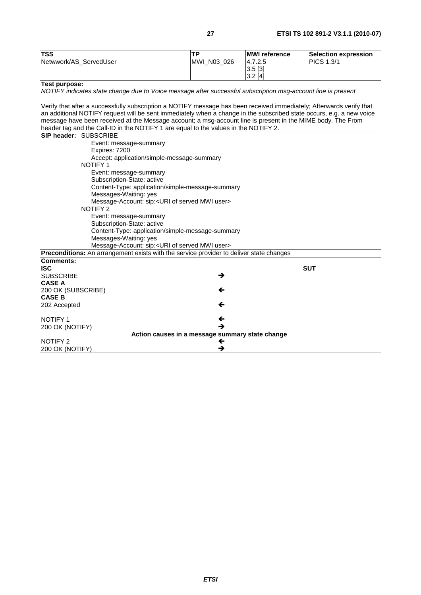| PICS 1.3/1<br>MWI_N03_026<br>4.7.2.5<br>Netwwork/AS_ServedUser<br>$3.5$ [3]<br>3.2[4]<br>Test purpose:<br>NOTIFY indicates state change due to Voice message after successful subscription msg-account line is present<br>Verify that after a successfully subscription a NOTIFY message has been received immediately; Afterwards verify that<br>an additional NOTIFY request will be sent immediately when a change in the subscribed state occurs, e.g. a new voice<br>message have been received at the Message account; a msg-account line is present in the MIME body. The From<br>header tag and the Call-ID in the NOTIFY 1 are equal to the values in the NOTIFY 2.<br>SIP header: SUBSCRIBE<br>Event: message-summary<br>Expires: 7200<br>Accept: application/simple-message-summary<br><b>NOTIFY1</b><br>Event: message-summary<br>Subscription-State: active<br>Content-Type: application/simple-message-summary<br>Messages-Waiting: yes<br>Message-Account: sip: <uri mwi="" of="" served="" user=""><br/><b>NOTIFY 2</b><br/>Event: message-summary<br/>Subscription-State: active<br/>Content-Type: application/simple-message-summary<br/>Messages-Waiting: yes<br/>Message-Account: sip:<uri mwi="" of="" served="" user=""><br/>Preconditions: An arrangement exists with the service provider to deliver state changes<br/><b>Comments:</b><br/><b>ISC</b><br/><b>SUT</b><br/><b>SUBSCRIBE</b><br/>→<br/><b>CASE A</b></uri></uri> | <b>TSS</b> | <b>TP</b> | <b>MWI</b> reference | <b>Selection expression</b> |
|--------------------------------------------------------------------------------------------------------------------------------------------------------------------------------------------------------------------------------------------------------------------------------------------------------------------------------------------------------------------------------------------------------------------------------------------------------------------------------------------------------------------------------------------------------------------------------------------------------------------------------------------------------------------------------------------------------------------------------------------------------------------------------------------------------------------------------------------------------------------------------------------------------------------------------------------------------------------------------------------------------------------------------------------------------------------------------------------------------------------------------------------------------------------------------------------------------------------------------------------------------------------------------------------------------------------------------------------------------------------------------------------------------------------------------------------------------|------------|-----------|----------------------|-----------------------------|
|                                                                                                                                                                                                                                                                                                                                                                                                                                                                                                                                                                                                                                                                                                                                                                                                                                                                                                                                                                                                                                                                                                                                                                                                                                                                                                                                                                                                                                                        |            |           |                      |                             |
|                                                                                                                                                                                                                                                                                                                                                                                                                                                                                                                                                                                                                                                                                                                                                                                                                                                                                                                                                                                                                                                                                                                                                                                                                                                                                                                                                                                                                                                        |            |           |                      |                             |
|                                                                                                                                                                                                                                                                                                                                                                                                                                                                                                                                                                                                                                                                                                                                                                                                                                                                                                                                                                                                                                                                                                                                                                                                                                                                                                                                                                                                                                                        |            |           |                      |                             |
|                                                                                                                                                                                                                                                                                                                                                                                                                                                                                                                                                                                                                                                                                                                                                                                                                                                                                                                                                                                                                                                                                                                                                                                                                                                                                                                                                                                                                                                        |            |           |                      |                             |
|                                                                                                                                                                                                                                                                                                                                                                                                                                                                                                                                                                                                                                                                                                                                                                                                                                                                                                                                                                                                                                                                                                                                                                                                                                                                                                                                                                                                                                                        |            |           |                      |                             |
|                                                                                                                                                                                                                                                                                                                                                                                                                                                                                                                                                                                                                                                                                                                                                                                                                                                                                                                                                                                                                                                                                                                                                                                                                                                                                                                                                                                                                                                        |            |           |                      |                             |
|                                                                                                                                                                                                                                                                                                                                                                                                                                                                                                                                                                                                                                                                                                                                                                                                                                                                                                                                                                                                                                                                                                                                                                                                                                                                                                                                                                                                                                                        |            |           |                      |                             |
|                                                                                                                                                                                                                                                                                                                                                                                                                                                                                                                                                                                                                                                                                                                                                                                                                                                                                                                                                                                                                                                                                                                                                                                                                                                                                                                                                                                                                                                        |            |           |                      |                             |
|                                                                                                                                                                                                                                                                                                                                                                                                                                                                                                                                                                                                                                                                                                                                                                                                                                                                                                                                                                                                                                                                                                                                                                                                                                                                                                                                                                                                                                                        |            |           |                      |                             |
|                                                                                                                                                                                                                                                                                                                                                                                                                                                                                                                                                                                                                                                                                                                                                                                                                                                                                                                                                                                                                                                                                                                                                                                                                                                                                                                                                                                                                                                        |            |           |                      |                             |
|                                                                                                                                                                                                                                                                                                                                                                                                                                                                                                                                                                                                                                                                                                                                                                                                                                                                                                                                                                                                                                                                                                                                                                                                                                                                                                                                                                                                                                                        |            |           |                      |                             |
|                                                                                                                                                                                                                                                                                                                                                                                                                                                                                                                                                                                                                                                                                                                                                                                                                                                                                                                                                                                                                                                                                                                                                                                                                                                                                                                                                                                                                                                        |            |           |                      |                             |
|                                                                                                                                                                                                                                                                                                                                                                                                                                                                                                                                                                                                                                                                                                                                                                                                                                                                                                                                                                                                                                                                                                                                                                                                                                                                                                                                                                                                                                                        |            |           |                      |                             |
|                                                                                                                                                                                                                                                                                                                                                                                                                                                                                                                                                                                                                                                                                                                                                                                                                                                                                                                                                                                                                                                                                                                                                                                                                                                                                                                                                                                                                                                        |            |           |                      |                             |
|                                                                                                                                                                                                                                                                                                                                                                                                                                                                                                                                                                                                                                                                                                                                                                                                                                                                                                                                                                                                                                                                                                                                                                                                                                                                                                                                                                                                                                                        |            |           |                      |                             |
|                                                                                                                                                                                                                                                                                                                                                                                                                                                                                                                                                                                                                                                                                                                                                                                                                                                                                                                                                                                                                                                                                                                                                                                                                                                                                                                                                                                                                                                        |            |           |                      |                             |
|                                                                                                                                                                                                                                                                                                                                                                                                                                                                                                                                                                                                                                                                                                                                                                                                                                                                                                                                                                                                                                                                                                                                                                                                                                                                                                                                                                                                                                                        |            |           |                      |                             |
|                                                                                                                                                                                                                                                                                                                                                                                                                                                                                                                                                                                                                                                                                                                                                                                                                                                                                                                                                                                                                                                                                                                                                                                                                                                                                                                                                                                                                                                        |            |           |                      |                             |
|                                                                                                                                                                                                                                                                                                                                                                                                                                                                                                                                                                                                                                                                                                                                                                                                                                                                                                                                                                                                                                                                                                                                                                                                                                                                                                                                                                                                                                                        |            |           |                      |                             |
|                                                                                                                                                                                                                                                                                                                                                                                                                                                                                                                                                                                                                                                                                                                                                                                                                                                                                                                                                                                                                                                                                                                                                                                                                                                                                                                                                                                                                                                        |            |           |                      |                             |
|                                                                                                                                                                                                                                                                                                                                                                                                                                                                                                                                                                                                                                                                                                                                                                                                                                                                                                                                                                                                                                                                                                                                                                                                                                                                                                                                                                                                                                                        |            |           |                      |                             |
|                                                                                                                                                                                                                                                                                                                                                                                                                                                                                                                                                                                                                                                                                                                                                                                                                                                                                                                                                                                                                                                                                                                                                                                                                                                                                                                                                                                                                                                        |            |           |                      |                             |
|                                                                                                                                                                                                                                                                                                                                                                                                                                                                                                                                                                                                                                                                                                                                                                                                                                                                                                                                                                                                                                                                                                                                                                                                                                                                                                                                                                                                                                                        |            |           |                      |                             |
|                                                                                                                                                                                                                                                                                                                                                                                                                                                                                                                                                                                                                                                                                                                                                                                                                                                                                                                                                                                                                                                                                                                                                                                                                                                                                                                                                                                                                                                        |            |           |                      |                             |
|                                                                                                                                                                                                                                                                                                                                                                                                                                                                                                                                                                                                                                                                                                                                                                                                                                                                                                                                                                                                                                                                                                                                                                                                                                                                                                                                                                                                                                                        |            |           |                      |                             |
|                                                                                                                                                                                                                                                                                                                                                                                                                                                                                                                                                                                                                                                                                                                                                                                                                                                                                                                                                                                                                                                                                                                                                                                                                                                                                                                                                                                                                                                        |            |           |                      |                             |
|                                                                                                                                                                                                                                                                                                                                                                                                                                                                                                                                                                                                                                                                                                                                                                                                                                                                                                                                                                                                                                                                                                                                                                                                                                                                                                                                                                                                                                                        |            |           |                      |                             |
|                                                                                                                                                                                                                                                                                                                                                                                                                                                                                                                                                                                                                                                                                                                                                                                                                                                                                                                                                                                                                                                                                                                                                                                                                                                                                                                                                                                                                                                        |            |           |                      |                             |
|                                                                                                                                                                                                                                                                                                                                                                                                                                                                                                                                                                                                                                                                                                                                                                                                                                                                                                                                                                                                                                                                                                                                                                                                                                                                                                                                                                                                                                                        |            |           |                      |                             |
|                                                                                                                                                                                                                                                                                                                                                                                                                                                                                                                                                                                                                                                                                                                                                                                                                                                                                                                                                                                                                                                                                                                                                                                                                                                                                                                                                                                                                                                        |            |           |                      |                             |
| 200 OK (SUBSCRIBE)<br>←                                                                                                                                                                                                                                                                                                                                                                                                                                                                                                                                                                                                                                                                                                                                                                                                                                                                                                                                                                                                                                                                                                                                                                                                                                                                                                                                                                                                                                |            |           |                      |                             |
| <b>CASE B</b>                                                                                                                                                                                                                                                                                                                                                                                                                                                                                                                                                                                                                                                                                                                                                                                                                                                                                                                                                                                                                                                                                                                                                                                                                                                                                                                                                                                                                                          |            |           |                      |                             |
| 202 Accepted<br>←                                                                                                                                                                                                                                                                                                                                                                                                                                                                                                                                                                                                                                                                                                                                                                                                                                                                                                                                                                                                                                                                                                                                                                                                                                                                                                                                                                                                                                      |            |           |                      |                             |
|                                                                                                                                                                                                                                                                                                                                                                                                                                                                                                                                                                                                                                                                                                                                                                                                                                                                                                                                                                                                                                                                                                                                                                                                                                                                                                                                                                                                                                                        |            |           |                      |                             |
| <b>NOTIFY 1</b><br>←                                                                                                                                                                                                                                                                                                                                                                                                                                                                                                                                                                                                                                                                                                                                                                                                                                                                                                                                                                                                                                                                                                                                                                                                                                                                                                                                                                                                                                   |            |           |                      |                             |
| →<br>200 OK (NOTIFY)                                                                                                                                                                                                                                                                                                                                                                                                                                                                                                                                                                                                                                                                                                                                                                                                                                                                                                                                                                                                                                                                                                                                                                                                                                                                                                                                                                                                                                   |            |           |                      |                             |
| Action causes in a message summary state change                                                                                                                                                                                                                                                                                                                                                                                                                                                                                                                                                                                                                                                                                                                                                                                                                                                                                                                                                                                                                                                                                                                                                                                                                                                                                                                                                                                                        |            |           |                      |                             |
| <b>NOTIFY 2</b><br>←                                                                                                                                                                                                                                                                                                                                                                                                                                                                                                                                                                                                                                                                                                                                                                                                                                                                                                                                                                                                                                                                                                                                                                                                                                                                                                                                                                                                                                   |            |           |                      |                             |
| →<br>200 OK (NOTIFY)                                                                                                                                                                                                                                                                                                                                                                                                                                                                                                                                                                                                                                                                                                                                                                                                                                                                                                                                                                                                                                                                                                                                                                                                                                                                                                                                                                                                                                   |            |           |                      |                             |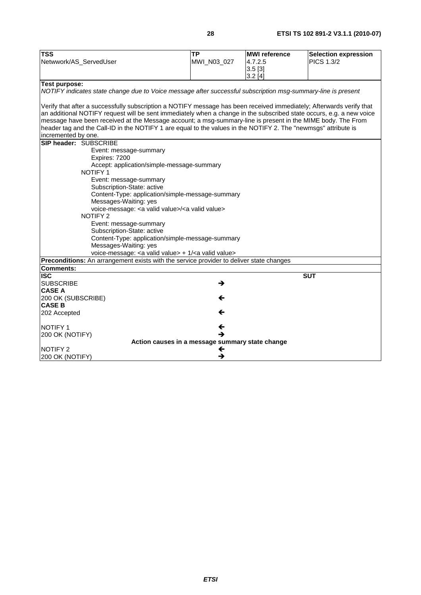| <b>TSS</b>                                                                                                           | <b>TP</b>   | <b>MWI</b> reference | <b>Selection expression</b> |
|----------------------------------------------------------------------------------------------------------------------|-------------|----------------------|-----------------------------|
|                                                                                                                      |             | 4.7.2.5              | <b>PICS 1.3/2</b>           |
| Netwwork/AS_ServedUser                                                                                               | MWI_N03_027 |                      |                             |
|                                                                                                                      |             | $3.5$ [3]            |                             |
|                                                                                                                      |             | 3.2[4]               |                             |
| <b>Test purpose:</b>                                                                                                 |             |                      |                             |
| NOTIFY indicates state change due to Voice message after successful subscription msg-summary-line is present         |             |                      |                             |
|                                                                                                                      |             |                      |                             |
| Verify that after a successfully subscription a NOTIFY message has been received immediately; Afterwards verify that |             |                      |                             |
| an additional NOTIFY request will be sent immediately when a change in the subscribed state occurs, e.g. a new voice |             |                      |                             |
| message have been received at the Message account; a msg-summary-line is present in the MIME body. The From          |             |                      |                             |
| header tag and the Call-ID in the NOTIFY 1 are equal to the values in the NOTIFY 2. The "newmsgs" attribute is       |             |                      |                             |
| incremented by one.                                                                                                  |             |                      |                             |
| SIP header: SUBSCRIBE                                                                                                |             |                      |                             |
| Event: message-summary                                                                                               |             |                      |                             |
| Expires: 7200                                                                                                        |             |                      |                             |
| Accept: application/simple-message-summary                                                                           |             |                      |                             |
| <b>NOTIFY 1</b>                                                                                                      |             |                      |                             |
| Event: message-summary                                                                                               |             |                      |                             |
| Subscription-State: active                                                                                           |             |                      |                             |
| Content-Type: application/simple-message-summary                                                                     |             |                      |                             |
| Messages-Waiting: yes                                                                                                |             |                      |                             |
| voice-message: < a valid value>/ <a valid="" value=""></a>                                                           |             |                      |                             |
| <b>NOTIFY 2</b>                                                                                                      |             |                      |                             |
| Event: message-summary                                                                                               |             |                      |                             |
| Subscription-State: active                                                                                           |             |                      |                             |
| Content-Type: application/simple-message-summary                                                                     |             |                      |                             |
| Messages-Waiting: yes                                                                                                |             |                      |                             |
| voice-message: < a valid value> + 1/ <a valid="" value=""></a>                                                       |             |                      |                             |
| Preconditions: An arrangement exists with the service provider to deliver state changes                              |             |                      |                             |
| <b>Comments:</b>                                                                                                     |             |                      |                             |
| <b>ISC</b>                                                                                                           |             |                      | <b>SUT</b>                  |
| <b>SUBSCRIBE</b>                                                                                                     | →           |                      |                             |
| <b>CASE A</b>                                                                                                        |             |                      |                             |
| 200 OK (SUBSCRIBE)                                                                                                   | ←           |                      |                             |
| <b>CASE B</b>                                                                                                        |             |                      |                             |
| 202 Accepted                                                                                                         | ←           |                      |                             |
|                                                                                                                      |             |                      |                             |
| <b>NOTIFY1</b>                                                                                                       | ←           |                      |                             |
| 200 OK (NOTIFY)                                                                                                      |             |                      |                             |
| Action causes in a message summary state change                                                                      |             |                      |                             |
| NOTIFY <sub>2</sub>                                                                                                  | ←<br>→      |                      |                             |
| 200 OK (NOTIFY)                                                                                                      |             |                      |                             |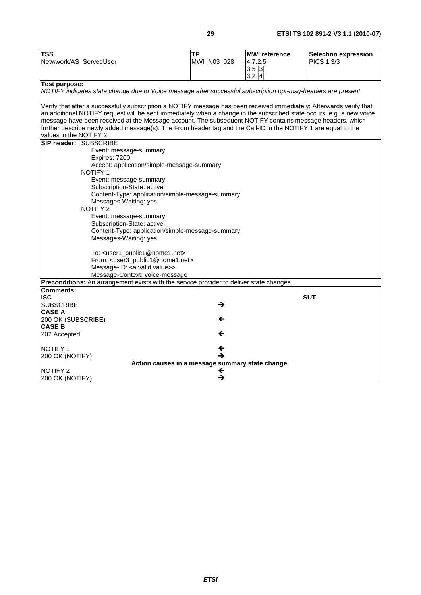| <b>TSS</b>                                                                                                                               | <b>TP</b>   | <b>MWI</b> reference | <b>Selection expression</b> |
|------------------------------------------------------------------------------------------------------------------------------------------|-------------|----------------------|-----------------------------|
| Netwwork/AS_ServedUser                                                                                                                   | MWI_N03_028 | 4.7.2.5              | PICS 1.3/3                  |
|                                                                                                                                          |             | 3.5[3]               |                             |
|                                                                                                                                          |             | 3.2[4]               |                             |
| <b>Test purpose:</b>                                                                                                                     |             |                      |                             |
| NOTIFY indicates state change due to Voice message after successful subscription opt-msg-headers are present                             |             |                      |                             |
|                                                                                                                                          |             |                      |                             |
| Verify that after a successfully subscription a NOTIFY message has been received immediately; Afterwards verify that                     |             |                      |                             |
| an additional NOTIFY request will be sent immediately when a change in the subscribed state occurs, e.g. a new voice                     |             |                      |                             |
| message have been received at the Message account. The subsequent NOTIFY contains message headers, which                                 |             |                      |                             |
| further describe newly added message(s). The From header tag and the Call-ID in the NOTIFY 1 are equal to the<br>values in the NOTIFY 2. |             |                      |                             |
| SIP header: SUBSCRIBE                                                                                                                    |             |                      |                             |
|                                                                                                                                          |             |                      |                             |
| Event: message-summary<br>Expires: 7200                                                                                                  |             |                      |                             |
| Accept: application/simple-message-summary                                                                                               |             |                      |                             |
| <b>NOTIFY 1</b>                                                                                                                          |             |                      |                             |
| Event: message-summary                                                                                                                   |             |                      |                             |
| Subscription-State: active                                                                                                               |             |                      |                             |
| Content-Type: application/simple-message-summary                                                                                         |             |                      |                             |
| Messages-Waiting: yes                                                                                                                    |             |                      |                             |
| NOTIFY 2                                                                                                                                 |             |                      |                             |
| Event: message-summary                                                                                                                   |             |                      |                             |
| Subscription-State: active                                                                                                               |             |                      |                             |
| Content-Type: application/simple-message-summary                                                                                         |             |                      |                             |
| Messages-Waiting: yes                                                                                                                    |             |                      |                             |
| To: <user1_public1@home1.net></user1_public1@home1.net>                                                                                  |             |                      |                             |
| From: <user3_public1@home1.net></user3_public1@home1.net>                                                                                |             |                      |                             |
| Message-ID: < a valid value>>                                                                                                            |             |                      |                             |
| Message-Context: voice-message                                                                                                           |             |                      |                             |
| Preconditions: An arrangement exists with the service provider to deliver state changes                                                  |             |                      |                             |
| <b>Comments:</b>                                                                                                                         |             |                      |                             |
| <b>ISC</b>                                                                                                                               |             |                      | <b>SUT</b>                  |
| <b>SUBSCRIBE</b>                                                                                                                         | →           |                      |                             |
| <b>CASE A</b>                                                                                                                            |             |                      |                             |
| 200 OK (SUBSCRIBE)                                                                                                                       |             |                      |                             |
| <b>CASE B</b>                                                                                                                            |             |                      |                             |
| 202 Accepted                                                                                                                             |             |                      |                             |
| <b>NOTIFY1</b>                                                                                                                           |             |                      |                             |
| 200 OK (NOTIFY)                                                                                                                          |             |                      |                             |
| Action causes in a message summary state change                                                                                          |             |                      |                             |
| <b>NOTIFY 2</b>                                                                                                                          | ←           |                      |                             |
| 200 OK (NOTIFY)                                                                                                                          | →           |                      |                             |
|                                                                                                                                          |             |                      |                             |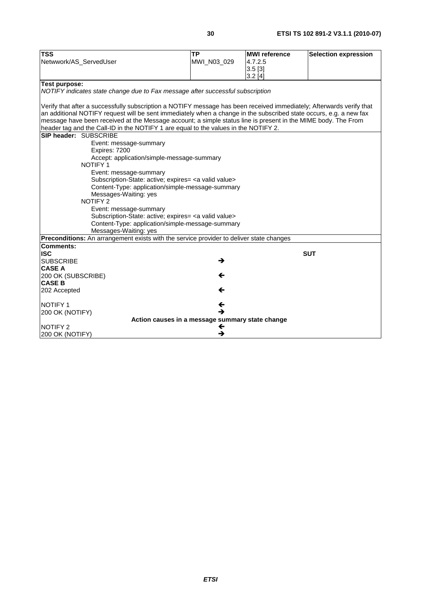| <b>TSS</b><br><b>TP</b><br><b>MWI</b> reference<br>Netwwork/AS_ServedUser<br>MWI_N03_029<br>4.7.2.5                  | <b>Selection expression</b> |  |
|----------------------------------------------------------------------------------------------------------------------|-----------------------------|--|
|                                                                                                                      |                             |  |
|                                                                                                                      |                             |  |
| 3.5[3]<br>3.2[4]                                                                                                     |                             |  |
| <b>Test purpose:</b>                                                                                                 |                             |  |
| NOTIFY indicates state change due to Fax message after successful subscription                                       |                             |  |
|                                                                                                                      |                             |  |
| Verify that after a successfully subscription a NOTIFY message has been received immediately; Afterwards verify that |                             |  |
| an additional NOTIFY request will be sent immediately when a change in the subscribed state occurs, e.g. a new fax   |                             |  |
| message have been received at the Message account; a simple status line is present in the MIME body. The From        |                             |  |
| header tag and the Call-ID in the NOTIFY 1 are equal to the values in the NOTIFY 2.                                  |                             |  |
| SIP header: SUBSCRIBE                                                                                                |                             |  |
| Event: message-summary                                                                                               |                             |  |
| Expires: 7200                                                                                                        |                             |  |
| Accept: application/simple-message-summary                                                                           |                             |  |
| <b>NOTIFY 1</b>                                                                                                      |                             |  |
| Event: message-summary                                                                                               |                             |  |
| Subscription-State: active; expires= <a valid="" value=""></a>                                                       |                             |  |
| Content-Type: application/simple-message-summary                                                                     |                             |  |
| Messages-Waiting: yes                                                                                                |                             |  |
| NOTIFY <sub>2</sub>                                                                                                  |                             |  |
| Event: message-summary                                                                                               |                             |  |
| Subscription-State: active; expires= <a valid="" value=""></a>                                                       |                             |  |
| Content-Type: application/simple-message-summary                                                                     |                             |  |
| Messages-Waiting: yes                                                                                                |                             |  |
| Preconditions: An arrangement exists with the service provider to deliver state changes                              |                             |  |
| <b>Comments:</b><br><b>ISC</b>                                                                                       |                             |  |
| <b>SUBSCRIBE</b><br>→                                                                                                | <b>SUT</b>                  |  |
| <b>CASE A</b>                                                                                                        |                             |  |
| 200 OK (SUBSCRIBE)                                                                                                   |                             |  |
| <b>CASE B</b>                                                                                                        |                             |  |
| 202 Accepted<br>←                                                                                                    |                             |  |
|                                                                                                                      |                             |  |
| NOTIFY <sub>1</sub>                                                                                                  |                             |  |
| →<br>200 OK (NOTIFY)                                                                                                 |                             |  |
| Action causes in a message summary state change                                                                      |                             |  |
| NOTIFY 2<br>←                                                                                                        |                             |  |
| →<br>200 OK (NOTIFY)                                                                                                 |                             |  |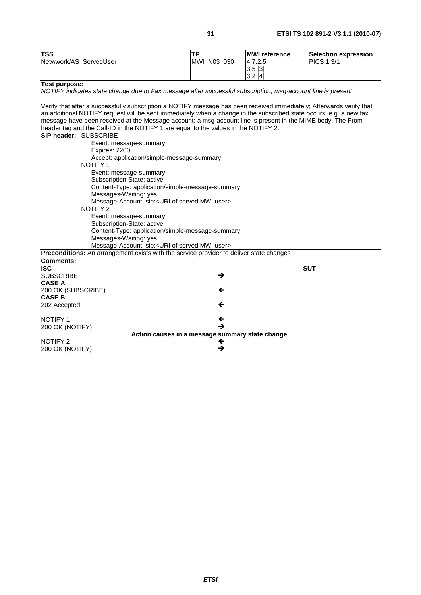| PICS 1.3/1<br>MWI_N03_030<br>4.7.2.5<br>Netwwork/AS_ServedUser<br>$3.5$ [3]<br>3.2[4]<br>Test purpose:<br>NOTIFY indicates state change due to Fax message after successful subscription; msg-account line is present<br>Verify that after a successfully subscription a NOTIFY message has been received immediately; Afterwards verify that<br>an additional NOTIFY request will be sent immediately when a change in the subscribed state occurs, e.g. a new fax<br>message have been received at the Message account; a msg-account line is present in the MIME body. The From<br>header tag and the Call-ID in the NOTIFY 1 are equal to the values in the NOTIFY 2.<br>SIP header: SUBSCRIBE<br>Event: message-summary<br>Expires: 7200<br>Accept: application/simple-message-summary<br><b>NOTIFY1</b><br>Event: message-summary<br>Subscription-State: active<br>Content-Type: application/simple-message-summary<br>Messages-Waiting: yes<br>Message-Account: sip: <uri mwi="" of="" served="" user=""><br/><b>NOTIFY 2</b><br/>Event: message-summary<br/>Subscription-State: active<br/>Content-Type: application/simple-message-summary<br/>Messages-Waiting: yes<br/>Message-Account: sip:<uri mwi="" of="" served="" user=""><br/>Preconditions: An arrangement exists with the service provider to deliver state changes<br/><b>Comments:</b><br/><b>ISC</b><br/><b>SUT</b><br/><b>SUBSCRIBE</b><br/>→<br/><b>CASE A</b><br/>200 OK (SUBSCRIBE)<br/>←<br/><b>CASE B</b><br/>202 Accepted<br/>←<br/><b>NOTIFY 1</b><br/>←<br/>→<br/>200 OK (NOTIFY)<br/>Action causes in a message summary state change<br/><b>NOTIFY 2</b><br/>←<br/>→</uri></uri> | <b>TSS</b>      | <b>TP</b> | <b>MWI</b> reference | <b>Selection expression</b> |  |
|-------------------------------------------------------------------------------------------------------------------------------------------------------------------------------------------------------------------------------------------------------------------------------------------------------------------------------------------------------------------------------------------------------------------------------------------------------------------------------------------------------------------------------------------------------------------------------------------------------------------------------------------------------------------------------------------------------------------------------------------------------------------------------------------------------------------------------------------------------------------------------------------------------------------------------------------------------------------------------------------------------------------------------------------------------------------------------------------------------------------------------------------------------------------------------------------------------------------------------------------------------------------------------------------------------------------------------------------------------------------------------------------------------------------------------------------------------------------------------------------------------------------------------------------------------------------------------------------------------------------------------------------------------------------|-----------------|-----------|----------------------|-----------------------------|--|
|                                                                                                                                                                                                                                                                                                                                                                                                                                                                                                                                                                                                                                                                                                                                                                                                                                                                                                                                                                                                                                                                                                                                                                                                                                                                                                                                                                                                                                                                                                                                                                                                                                                                   |                 |           |                      |                             |  |
|                                                                                                                                                                                                                                                                                                                                                                                                                                                                                                                                                                                                                                                                                                                                                                                                                                                                                                                                                                                                                                                                                                                                                                                                                                                                                                                                                                                                                                                                                                                                                                                                                                                                   |                 |           |                      |                             |  |
|                                                                                                                                                                                                                                                                                                                                                                                                                                                                                                                                                                                                                                                                                                                                                                                                                                                                                                                                                                                                                                                                                                                                                                                                                                                                                                                                                                                                                                                                                                                                                                                                                                                                   |                 |           |                      |                             |  |
|                                                                                                                                                                                                                                                                                                                                                                                                                                                                                                                                                                                                                                                                                                                                                                                                                                                                                                                                                                                                                                                                                                                                                                                                                                                                                                                                                                                                                                                                                                                                                                                                                                                                   |                 |           |                      |                             |  |
|                                                                                                                                                                                                                                                                                                                                                                                                                                                                                                                                                                                                                                                                                                                                                                                                                                                                                                                                                                                                                                                                                                                                                                                                                                                                                                                                                                                                                                                                                                                                                                                                                                                                   |                 |           |                      |                             |  |
|                                                                                                                                                                                                                                                                                                                                                                                                                                                                                                                                                                                                                                                                                                                                                                                                                                                                                                                                                                                                                                                                                                                                                                                                                                                                                                                                                                                                                                                                                                                                                                                                                                                                   |                 |           |                      |                             |  |
|                                                                                                                                                                                                                                                                                                                                                                                                                                                                                                                                                                                                                                                                                                                                                                                                                                                                                                                                                                                                                                                                                                                                                                                                                                                                                                                                                                                                                                                                                                                                                                                                                                                                   |                 |           |                      |                             |  |
|                                                                                                                                                                                                                                                                                                                                                                                                                                                                                                                                                                                                                                                                                                                                                                                                                                                                                                                                                                                                                                                                                                                                                                                                                                                                                                                                                                                                                                                                                                                                                                                                                                                                   |                 |           |                      |                             |  |
|                                                                                                                                                                                                                                                                                                                                                                                                                                                                                                                                                                                                                                                                                                                                                                                                                                                                                                                                                                                                                                                                                                                                                                                                                                                                                                                                                                                                                                                                                                                                                                                                                                                                   |                 |           |                      |                             |  |
|                                                                                                                                                                                                                                                                                                                                                                                                                                                                                                                                                                                                                                                                                                                                                                                                                                                                                                                                                                                                                                                                                                                                                                                                                                                                                                                                                                                                                                                                                                                                                                                                                                                                   |                 |           |                      |                             |  |
|                                                                                                                                                                                                                                                                                                                                                                                                                                                                                                                                                                                                                                                                                                                                                                                                                                                                                                                                                                                                                                                                                                                                                                                                                                                                                                                                                                                                                                                                                                                                                                                                                                                                   |                 |           |                      |                             |  |
|                                                                                                                                                                                                                                                                                                                                                                                                                                                                                                                                                                                                                                                                                                                                                                                                                                                                                                                                                                                                                                                                                                                                                                                                                                                                                                                                                                                                                                                                                                                                                                                                                                                                   |                 |           |                      |                             |  |
|                                                                                                                                                                                                                                                                                                                                                                                                                                                                                                                                                                                                                                                                                                                                                                                                                                                                                                                                                                                                                                                                                                                                                                                                                                                                                                                                                                                                                                                                                                                                                                                                                                                                   |                 |           |                      |                             |  |
|                                                                                                                                                                                                                                                                                                                                                                                                                                                                                                                                                                                                                                                                                                                                                                                                                                                                                                                                                                                                                                                                                                                                                                                                                                                                                                                                                                                                                                                                                                                                                                                                                                                                   |                 |           |                      |                             |  |
|                                                                                                                                                                                                                                                                                                                                                                                                                                                                                                                                                                                                                                                                                                                                                                                                                                                                                                                                                                                                                                                                                                                                                                                                                                                                                                                                                                                                                                                                                                                                                                                                                                                                   |                 |           |                      |                             |  |
|                                                                                                                                                                                                                                                                                                                                                                                                                                                                                                                                                                                                                                                                                                                                                                                                                                                                                                                                                                                                                                                                                                                                                                                                                                                                                                                                                                                                                                                                                                                                                                                                                                                                   |                 |           |                      |                             |  |
|                                                                                                                                                                                                                                                                                                                                                                                                                                                                                                                                                                                                                                                                                                                                                                                                                                                                                                                                                                                                                                                                                                                                                                                                                                                                                                                                                                                                                                                                                                                                                                                                                                                                   |                 |           |                      |                             |  |
|                                                                                                                                                                                                                                                                                                                                                                                                                                                                                                                                                                                                                                                                                                                                                                                                                                                                                                                                                                                                                                                                                                                                                                                                                                                                                                                                                                                                                                                                                                                                                                                                                                                                   |                 |           |                      |                             |  |
|                                                                                                                                                                                                                                                                                                                                                                                                                                                                                                                                                                                                                                                                                                                                                                                                                                                                                                                                                                                                                                                                                                                                                                                                                                                                                                                                                                                                                                                                                                                                                                                                                                                                   |                 |           |                      |                             |  |
|                                                                                                                                                                                                                                                                                                                                                                                                                                                                                                                                                                                                                                                                                                                                                                                                                                                                                                                                                                                                                                                                                                                                                                                                                                                                                                                                                                                                                                                                                                                                                                                                                                                                   |                 |           |                      |                             |  |
|                                                                                                                                                                                                                                                                                                                                                                                                                                                                                                                                                                                                                                                                                                                                                                                                                                                                                                                                                                                                                                                                                                                                                                                                                                                                                                                                                                                                                                                                                                                                                                                                                                                                   |                 |           |                      |                             |  |
|                                                                                                                                                                                                                                                                                                                                                                                                                                                                                                                                                                                                                                                                                                                                                                                                                                                                                                                                                                                                                                                                                                                                                                                                                                                                                                                                                                                                                                                                                                                                                                                                                                                                   |                 |           |                      |                             |  |
|                                                                                                                                                                                                                                                                                                                                                                                                                                                                                                                                                                                                                                                                                                                                                                                                                                                                                                                                                                                                                                                                                                                                                                                                                                                                                                                                                                                                                                                                                                                                                                                                                                                                   |                 |           |                      |                             |  |
|                                                                                                                                                                                                                                                                                                                                                                                                                                                                                                                                                                                                                                                                                                                                                                                                                                                                                                                                                                                                                                                                                                                                                                                                                                                                                                                                                                                                                                                                                                                                                                                                                                                                   |                 |           |                      |                             |  |
|                                                                                                                                                                                                                                                                                                                                                                                                                                                                                                                                                                                                                                                                                                                                                                                                                                                                                                                                                                                                                                                                                                                                                                                                                                                                                                                                                                                                                                                                                                                                                                                                                                                                   |                 |           |                      |                             |  |
|                                                                                                                                                                                                                                                                                                                                                                                                                                                                                                                                                                                                                                                                                                                                                                                                                                                                                                                                                                                                                                                                                                                                                                                                                                                                                                                                                                                                                                                                                                                                                                                                                                                                   |                 |           |                      |                             |  |
|                                                                                                                                                                                                                                                                                                                                                                                                                                                                                                                                                                                                                                                                                                                                                                                                                                                                                                                                                                                                                                                                                                                                                                                                                                                                                                                                                                                                                                                                                                                                                                                                                                                                   |                 |           |                      |                             |  |
|                                                                                                                                                                                                                                                                                                                                                                                                                                                                                                                                                                                                                                                                                                                                                                                                                                                                                                                                                                                                                                                                                                                                                                                                                                                                                                                                                                                                                                                                                                                                                                                                                                                                   |                 |           |                      |                             |  |
|                                                                                                                                                                                                                                                                                                                                                                                                                                                                                                                                                                                                                                                                                                                                                                                                                                                                                                                                                                                                                                                                                                                                                                                                                                                                                                                                                                                                                                                                                                                                                                                                                                                                   |                 |           |                      |                             |  |
|                                                                                                                                                                                                                                                                                                                                                                                                                                                                                                                                                                                                                                                                                                                                                                                                                                                                                                                                                                                                                                                                                                                                                                                                                                                                                                                                                                                                                                                                                                                                                                                                                                                                   |                 |           |                      |                             |  |
|                                                                                                                                                                                                                                                                                                                                                                                                                                                                                                                                                                                                                                                                                                                                                                                                                                                                                                                                                                                                                                                                                                                                                                                                                                                                                                                                                                                                                                                                                                                                                                                                                                                                   |                 |           |                      |                             |  |
|                                                                                                                                                                                                                                                                                                                                                                                                                                                                                                                                                                                                                                                                                                                                                                                                                                                                                                                                                                                                                                                                                                                                                                                                                                                                                                                                                                                                                                                                                                                                                                                                                                                                   |                 |           |                      |                             |  |
|                                                                                                                                                                                                                                                                                                                                                                                                                                                                                                                                                                                                                                                                                                                                                                                                                                                                                                                                                                                                                                                                                                                                                                                                                                                                                                                                                                                                                                                                                                                                                                                                                                                                   |                 |           |                      |                             |  |
|                                                                                                                                                                                                                                                                                                                                                                                                                                                                                                                                                                                                                                                                                                                                                                                                                                                                                                                                                                                                                                                                                                                                                                                                                                                                                                                                                                                                                                                                                                                                                                                                                                                                   |                 |           |                      |                             |  |
|                                                                                                                                                                                                                                                                                                                                                                                                                                                                                                                                                                                                                                                                                                                                                                                                                                                                                                                                                                                                                                                                                                                                                                                                                                                                                                                                                                                                                                                                                                                                                                                                                                                                   |                 |           |                      |                             |  |
|                                                                                                                                                                                                                                                                                                                                                                                                                                                                                                                                                                                                                                                                                                                                                                                                                                                                                                                                                                                                                                                                                                                                                                                                                                                                                                                                                                                                                                                                                                                                                                                                                                                                   |                 |           |                      |                             |  |
|                                                                                                                                                                                                                                                                                                                                                                                                                                                                                                                                                                                                                                                                                                                                                                                                                                                                                                                                                                                                                                                                                                                                                                                                                                                                                                                                                                                                                                                                                                                                                                                                                                                                   |                 |           |                      |                             |  |
|                                                                                                                                                                                                                                                                                                                                                                                                                                                                                                                                                                                                                                                                                                                                                                                                                                                                                                                                                                                                                                                                                                                                                                                                                                                                                                                                                                                                                                                                                                                                                                                                                                                                   |                 |           |                      |                             |  |
|                                                                                                                                                                                                                                                                                                                                                                                                                                                                                                                                                                                                                                                                                                                                                                                                                                                                                                                                                                                                                                                                                                                                                                                                                                                                                                                                                                                                                                                                                                                                                                                                                                                                   | 200 OK (NOTIFY) |           |                      |                             |  |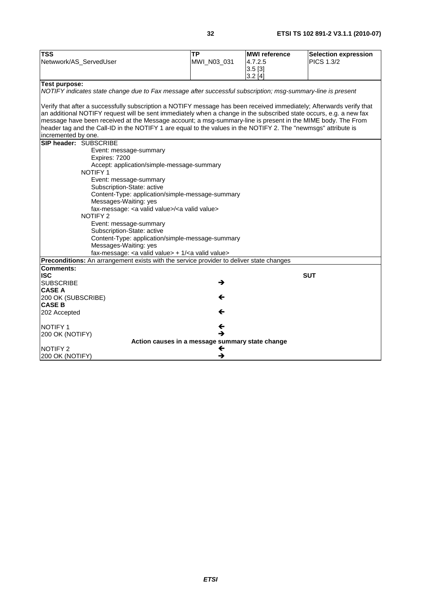| <b>TSS</b>                                                                                                                                                                                                                                                                                                                                                                                                                                                                                         | <b>TP</b><br>MWI_N03_031 | <b>MWI</b> reference<br>4.7.2.5 | <b>Selection expression</b><br><b>PICS 1.3/2</b> |
|----------------------------------------------------------------------------------------------------------------------------------------------------------------------------------------------------------------------------------------------------------------------------------------------------------------------------------------------------------------------------------------------------------------------------------------------------------------------------------------------------|--------------------------|---------------------------------|--------------------------------------------------|
| Netwwork/AS_ServedUser                                                                                                                                                                                                                                                                                                                                                                                                                                                                             |                          | $3.5$ [3]                       |                                                  |
|                                                                                                                                                                                                                                                                                                                                                                                                                                                                                                    |                          | 3.2[4]                          |                                                  |
| <b>Test purpose:</b>                                                                                                                                                                                                                                                                                                                                                                                                                                                                               |                          |                                 |                                                  |
| NOTIFY indicates state change due to Fax message after successful subscription; msg-summary-line is present                                                                                                                                                                                                                                                                                                                                                                                        |                          |                                 |                                                  |
| Verify that after a successfully subscription a NOTIFY message has been received immediately; Afterwards verify that<br>an additional NOTIFY request will be sent immediately when a change in the subscribed state occurs, e.g. a new fax<br>message have been received at the Message account; a msg-summary-line is present in the MIME body. The From<br>header tag and the Call-ID in the NOTIFY 1 are equal to the values in the NOTIFY 2. The "newmsgs" attribute is<br>incremented by one. |                          |                                 |                                                  |
| <b>SIP header: SUBSCRIBE</b>                                                                                                                                                                                                                                                                                                                                                                                                                                                                       |                          |                                 |                                                  |
| Event: message-summary                                                                                                                                                                                                                                                                                                                                                                                                                                                                             |                          |                                 |                                                  |
| Expires: 7200                                                                                                                                                                                                                                                                                                                                                                                                                                                                                      |                          |                                 |                                                  |
| Accept: application/simple-message-summary                                                                                                                                                                                                                                                                                                                                                                                                                                                         |                          |                                 |                                                  |
| NOTIFY 1                                                                                                                                                                                                                                                                                                                                                                                                                                                                                           |                          |                                 |                                                  |
| Event: message-summary                                                                                                                                                                                                                                                                                                                                                                                                                                                                             |                          |                                 |                                                  |
| Subscription-State: active<br>Content-Type: application/simple-message-summary                                                                                                                                                                                                                                                                                                                                                                                                                     |                          |                                 |                                                  |
| Messages-Waiting: yes                                                                                                                                                                                                                                                                                                                                                                                                                                                                              |                          |                                 |                                                  |
| fax-message: < a valid value>/ <a valid="" value=""></a>                                                                                                                                                                                                                                                                                                                                                                                                                                           |                          |                                 |                                                  |
| <b>NOTIFY 2</b>                                                                                                                                                                                                                                                                                                                                                                                                                                                                                    |                          |                                 |                                                  |
| Event: message-summary                                                                                                                                                                                                                                                                                                                                                                                                                                                                             |                          |                                 |                                                  |
| Subscription-State: active                                                                                                                                                                                                                                                                                                                                                                                                                                                                         |                          |                                 |                                                  |
| Content-Type: application/simple-message-summary                                                                                                                                                                                                                                                                                                                                                                                                                                                   |                          |                                 |                                                  |
| Messages-Waiting: yes                                                                                                                                                                                                                                                                                                                                                                                                                                                                              |                          |                                 |                                                  |
| fax-message: <a valid="" value=""> + 1/<a valid="" value=""></a></a>                                                                                                                                                                                                                                                                                                                                                                                                                               |                          |                                 |                                                  |
| Preconditions: An arrangement exists with the service provider to deliver state changes                                                                                                                                                                                                                                                                                                                                                                                                            |                          |                                 |                                                  |
| <b>Comments:</b>                                                                                                                                                                                                                                                                                                                                                                                                                                                                                   |                          |                                 |                                                  |
| <b>ISC</b><br><b>SUBSCRIBE</b>                                                                                                                                                                                                                                                                                                                                                                                                                                                                     | →                        |                                 | <b>SUT</b>                                       |
| <b>CASE A</b>                                                                                                                                                                                                                                                                                                                                                                                                                                                                                      |                          |                                 |                                                  |
| 200 OK (SUBSCRIBE)                                                                                                                                                                                                                                                                                                                                                                                                                                                                                 | ←                        |                                 |                                                  |
| <b>CASE B</b>                                                                                                                                                                                                                                                                                                                                                                                                                                                                                      |                          |                                 |                                                  |
| 202 Accepted                                                                                                                                                                                                                                                                                                                                                                                                                                                                                       | ←                        |                                 |                                                  |
|                                                                                                                                                                                                                                                                                                                                                                                                                                                                                                    |                          |                                 |                                                  |
| <b>INOTIFY 1</b>                                                                                                                                                                                                                                                                                                                                                                                                                                                                                   | ←                        |                                 |                                                  |
| 200 OK (NOTIFY)                                                                                                                                                                                                                                                                                                                                                                                                                                                                                    | →                        |                                 |                                                  |
| Action causes in a message summary state change                                                                                                                                                                                                                                                                                                                                                                                                                                                    |                          |                                 |                                                  |
| <b>NOTIFY 2</b>                                                                                                                                                                                                                                                                                                                                                                                                                                                                                    | ←                        |                                 |                                                  |
| 200 OK (NOTIFY)                                                                                                                                                                                                                                                                                                                                                                                                                                                                                    | →                        |                                 |                                                  |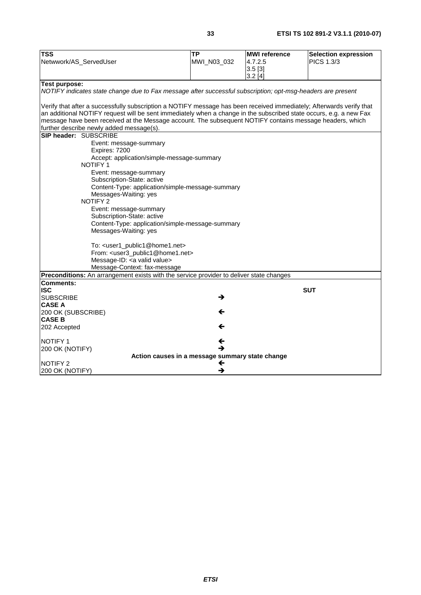| <b>TSS</b>                                                                                                                                                                                                                     | <b>TP</b>                  | <b>MWI</b> reference | Selection expression |  |
|--------------------------------------------------------------------------------------------------------------------------------------------------------------------------------------------------------------------------------|----------------------------|----------------------|----------------------|--|
| Netwwork/AS_ServedUser                                                                                                                                                                                                         | MWI_N03_032                | 4.7.2.5              | PICS 1.3/3           |  |
|                                                                                                                                                                                                                                |                            | 3.5[3]               |                      |  |
|                                                                                                                                                                                                                                |                            | $3.2$ [4]            |                      |  |
| Test purpose:                                                                                                                                                                                                                  |                            |                      |                      |  |
| NOTIFY indicates state change due to Fax message after successful subscription; opt-msg-headers are present                                                                                                                    |                            |                      |                      |  |
|                                                                                                                                                                                                                                |                            |                      |                      |  |
| Verify that after a successfully subscription a NOTIFY message has been received immediately; Afterwards verify that                                                                                                           |                            |                      |                      |  |
| an additional NOTIFY request will be sent immediately when a change in the subscribed state occurs, e.g. a new Fax<br>message have been received at the Message account. The subsequent NOTIFY contains message headers, which |                            |                      |                      |  |
| further describe newly added message(s).                                                                                                                                                                                       |                            |                      |                      |  |
| SIP header: SUBSCRIBE                                                                                                                                                                                                          |                            |                      |                      |  |
| Event: message-summary                                                                                                                                                                                                         |                            |                      |                      |  |
| Expires: 7200                                                                                                                                                                                                                  |                            |                      |                      |  |
| Accept: application/simple-message-summary                                                                                                                                                                                     |                            |                      |                      |  |
| NOTIFY 1                                                                                                                                                                                                                       |                            |                      |                      |  |
| Event: message-summary                                                                                                                                                                                                         |                            |                      |                      |  |
| Subscription-State: active                                                                                                                                                                                                     |                            |                      |                      |  |
| Content-Type: application/simple-message-summary                                                                                                                                                                               |                            |                      |                      |  |
| Messages-Waiting: yes                                                                                                                                                                                                          |                            |                      |                      |  |
| <b>NOTIFY 2</b>                                                                                                                                                                                                                |                            |                      |                      |  |
| Event: message-summary                                                                                                                                                                                                         |                            |                      |                      |  |
|                                                                                                                                                                                                                                | Subscription-State: active |                      |                      |  |
| Content-Type: application/simple-message-summary<br>Messages-Waiting: yes                                                                                                                                                      |                            |                      |                      |  |
|                                                                                                                                                                                                                                |                            |                      |                      |  |
| To: <user1_public1@home1.net></user1_public1@home1.net>                                                                                                                                                                        |                            |                      |                      |  |
| From: <user3_public1@home1.net></user3_public1@home1.net>                                                                                                                                                                      |                            |                      |                      |  |
| Message-ID: < a valid value>                                                                                                                                                                                                   |                            |                      |                      |  |
| Message-Context: fax-message                                                                                                                                                                                                   |                            |                      |                      |  |
| Preconditions: An arrangement exists with the service provider to deliver state changes                                                                                                                                        |                            |                      |                      |  |
| <b>Comments:</b>                                                                                                                                                                                                               |                            |                      |                      |  |
| <b>ISC</b>                                                                                                                                                                                                                     |                            |                      | <b>SUT</b>           |  |
| <b>SUBSCRIBE</b>                                                                                                                                                                                                               | →                          |                      |                      |  |
| <b>CASE A</b>                                                                                                                                                                                                                  |                            |                      |                      |  |
| 200 OK (SUBSCRIBE)<br><b>CASE B</b>                                                                                                                                                                                            | ←                          |                      |                      |  |
| 202 Accepted                                                                                                                                                                                                                   | ←                          |                      |                      |  |
|                                                                                                                                                                                                                                |                            |                      |                      |  |
| <b>NOTIFY 1</b>                                                                                                                                                                                                                | ←                          |                      |                      |  |
| 200 OK (NOTIFY)                                                                                                                                                                                                                | →                          |                      |                      |  |
| Action causes in a message summary state change                                                                                                                                                                                |                            |                      |                      |  |
| <b>NOTIFY 2</b>                                                                                                                                                                                                                | ←                          |                      |                      |  |
| 200 OK (NOTIFY)                                                                                                                                                                                                                | →                          |                      |                      |  |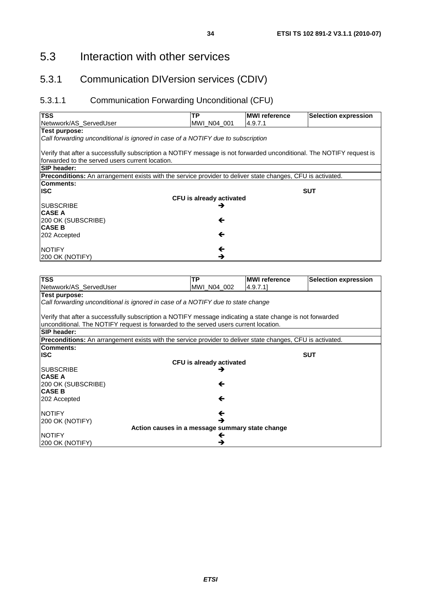### 5.3.1 Communication DIVersion services (CDIV)

### 5.3.1.1 Communication Forwarding Unconditional (CFU)

| <b>TSS</b>                                                                                                           | <b>TP</b>                | <b>IMWI reference</b> | <b>Selection expression</b> |
|----------------------------------------------------------------------------------------------------------------------|--------------------------|-----------------------|-----------------------------|
| Netwwork/AS_ServedUser                                                                                               | MWI N04 001              | 4.9.7.1               |                             |
| Test purpose:                                                                                                        |                          |                       |                             |
| Call forwarding unconditional is ignored in case of a NOTIFY due to subscription                                     |                          |                       |                             |
| Verify that after a successfully subscription a NOTIFY message is not forwarded unconditional. The NOTIFY request is |                          |                       |                             |
| forwarded to the served users current location.                                                                      |                          |                       |                             |
| <b>SIP header:</b>                                                                                                   |                          |                       |                             |
| <b>Preconditions:</b> An arrangement exists with the service provider to deliver state changes, CFU is activated.    |                          |                       |                             |
| Comments:                                                                                                            |                          |                       |                             |
| lISC.                                                                                                                |                          |                       | <b>SUT</b>                  |
|                                                                                                                      | CFU is already activated |                       |                             |
| <b>ISUBSCRIBE</b>                                                                                                    | →                        |                       |                             |
| <b>CASE A</b>                                                                                                        |                          |                       |                             |
| 200 OK (SUBSCRIBE)                                                                                                   | ←                        |                       |                             |
| <b>CASE B</b>                                                                                                        |                          |                       |                             |
| 202 Accepted                                                                                                         | ←                        |                       |                             |
|                                                                                                                      |                          |                       |                             |
| <b>NOTIFY</b>                                                                                                        | ←                        |                       |                             |
| 200 OK (NOTIFY)                                                                                                      | →                        |                       |                             |

| <b>TSS</b>                                                                                                        | <b>TP</b>                | <b>MWI reference</b> | <b>Selection expression</b> |
|-------------------------------------------------------------------------------------------------------------------|--------------------------|----------------------|-----------------------------|
| Netwwork/AS_ServedUser                                                                                            | MWI N04 002              | 4.9.7.11             |                             |
| Test purpose:                                                                                                     |                          |                      |                             |
| Call forwarding unconditional is ignored in case of a NOTIFY due to state change                                  |                          |                      |                             |
|                                                                                                                   |                          |                      |                             |
| Verify that after a successfully subscription a NOTIFY message indicating a state change is not forwarded         |                          |                      |                             |
| unconditional. The NOTIFY request is forwarded to the served users current location.                              |                          |                      |                             |
| <b>SIP header:</b>                                                                                                |                          |                      |                             |
| <b>Preconditions:</b> An arrangement exists with the service provider to deliver state changes, CFU is activated. |                          |                      |                             |
| Comments:                                                                                                         |                          |                      |                             |
| <b>ISC</b>                                                                                                        |                          |                      | <b>SUT</b>                  |
|                                                                                                                   | CFU is already activated |                      |                             |
| <b>SUBSCRIBE</b>                                                                                                  | →                        |                      |                             |
| <b>CASE A</b>                                                                                                     |                          |                      |                             |
| 200 OK (SUBSCRIBE)                                                                                                | ←                        |                      |                             |
| <b>CASE B</b>                                                                                                     |                          |                      |                             |
| 202 Accepted                                                                                                      | ←                        |                      |                             |
|                                                                                                                   |                          |                      |                             |
| <b>NOTIFY</b>                                                                                                     | ←                        |                      |                             |
| 200 OK (NOTIFY)                                                                                                   | →                        |                      |                             |
| Action causes in a message summary state change                                                                   |                          |                      |                             |
| <b>NOTIFY</b>                                                                                                     | ←                        |                      |                             |
| 200 OK (NOTIFY)                                                                                                   | →                        |                      |                             |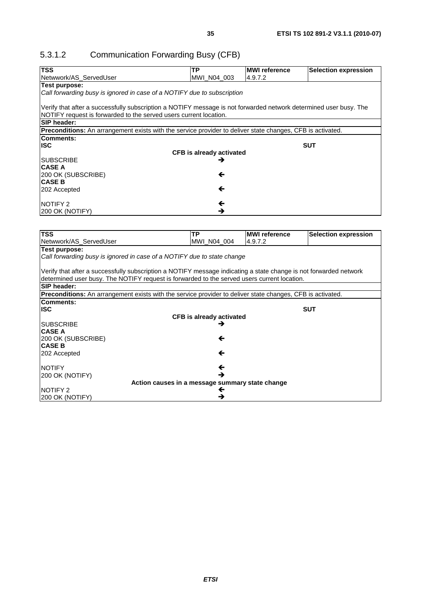### 5.3.1.2 Communication Forwarding Busy (CFB)

200 OK (NOTIFY)

| <b>TSS</b>                                                                                                        | <b>TP</b>                            | <b>MWI</b> reference | <b>Selection expression</b> |
|-------------------------------------------------------------------------------------------------------------------|--------------------------------------|----------------------|-----------------------------|
| Netwwork/AS_ServedUser                                                                                            | MWI_N04_003                          | 4.9.7.2              |                             |
| <b>Test purpose:</b>                                                                                              |                                      |                      |                             |
| Call forwarding busy is ignored in case of a NOTIFY due to subscription                                           |                                      |                      |                             |
|                                                                                                                   |                                      |                      |                             |
| Verify that after a successfully subscription a NOTIFY message is not forwarded network determined user busy. The |                                      |                      |                             |
| NOTIFY request is forwarded to the served users current location.                                                 |                                      |                      |                             |
| <b>SIP header:</b>                                                                                                |                                      |                      |                             |
| Preconditions: An arrangement exists with the service provider to deliver state changes, CFB is activated.        |                                      |                      |                             |
| <b>Comments:</b>                                                                                                  |                                      |                      |                             |
| <b>ISC</b>                                                                                                        |                                      |                      | <b>SUT</b>                  |
| <b>SUBSCRIBE</b>                                                                                                  | <b>CFB</b> is already activated<br>→ |                      |                             |
| <b>CASE A</b>                                                                                                     |                                      |                      |                             |
| 200 OK (SUBSCRIBE)                                                                                                | ←                                    |                      |                             |
| <b>CASE B</b>                                                                                                     |                                      |                      |                             |
| 202 Accepted                                                                                                      | ←                                    |                      |                             |
|                                                                                                                   |                                      |                      |                             |
| NOTIFY 2                                                                                                          | $\leftarrow$                         |                      |                             |
| 200 OK (NOTIFY)                                                                                                   | →                                    |                      |                             |
|                                                                                                                   |                                      |                      |                             |
|                                                                                                                   |                                      |                      |                             |
| <b>TSS</b>                                                                                                        | <b>TP</b>                            | <b>MWI</b> reference | <b>Selection expression</b> |
| Netwwork/AS_ServedUser                                                                                            | MWI_N04_004                          | 4.9.7.2              |                             |
| Test purpose:                                                                                                     |                                      |                      |                             |
| Call forwarding busy is ignored in case of a NOTIFY due to state change                                           |                                      |                      |                             |
|                                                                                                                   |                                      |                      |                             |
| Verify that after a successfully subscription a NOTIFY message indicating a state change is not forwarded network |                                      |                      |                             |
| determined user busy. The NOTIFY request is forwarded to the served users current location.                       |                                      |                      |                             |
| <b>SIP header:</b>                                                                                                |                                      |                      |                             |
| Preconditions: An arrangement exists with the service provider to deliver state changes, CFB is activated.        |                                      |                      |                             |
| <b>Comments:</b><br><b>ISC</b>                                                                                    |                                      |                      | <b>SUT</b>                  |
|                                                                                                                   |                                      |                      |                             |
| <b>SUBSCRIBE</b>                                                                                                  | <b>CFB</b> is already activated<br>→ |                      |                             |
| <b>CASE A</b>                                                                                                     |                                      |                      |                             |
| 200 OK (SUBSCRIBE)                                                                                                | ←                                    |                      |                             |
| <b>CASE B</b>                                                                                                     |                                      |                      |                             |
| 202 Accepted                                                                                                      | ←                                    |                      |                             |
|                                                                                                                   |                                      |                      |                             |
| <b>NOTIFY</b>                                                                                                     | ←                                    |                      |                             |

 $\rightarrow$ 

 $\Leftrightarrow$ 

200 OK (NOTIFY) **Action causes in a message summary state change**

NOTIFY 2  $\leftrightarrow$  2000 OK (NOTIFY)

200 OK (NOTIFY)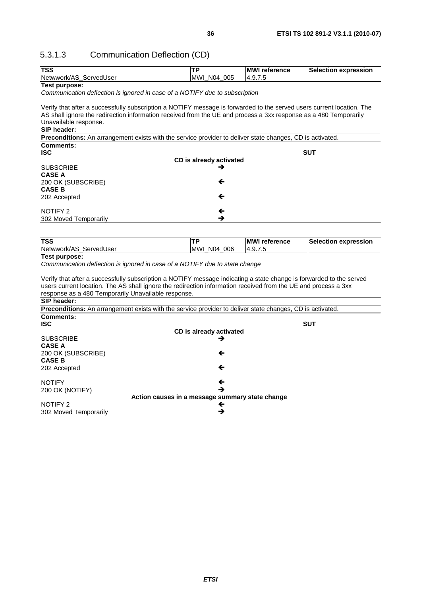## 5.3.1.3 Communication Deflection (CD)

| <b>TSS</b>                                                                                                            | TP                      | <b>MWI</b> reference | <b>Selection expression</b> |
|-----------------------------------------------------------------------------------------------------------------------|-------------------------|----------------------|-----------------------------|
| Netwwork/AS_ServedUser                                                                                                | MWI N04 005             | 4.9.7.5              |                             |
| <b>Test purpose:</b>                                                                                                  |                         |                      |                             |
| Communication deflection is ignored in case of a NOTIFY due to subscription                                           |                         |                      |                             |
| Verify that after a successfully subscription a NOTIFY message is forwarded to the served users current location. The |                         |                      |                             |
| AS shall ignore the redirection information received from the UE and process a 3xx response as a 480 Temporarily      |                         |                      |                             |
| Unavailable response.                                                                                                 |                         |                      |                             |
| SIP header:                                                                                                           |                         |                      |                             |
| Preconditions: An arrangement exists with the service provider to deliver state changes, CD is activated.             |                         |                      |                             |
| Comments:                                                                                                             |                         |                      |                             |
| <b>ISC</b>                                                                                                            |                         |                      | <b>SUT</b>                  |
|                                                                                                                       | CD is already activated |                      |                             |
| <b>SUBSCRIBE</b>                                                                                                      | →                       |                      |                             |
| <b>CASE A</b>                                                                                                         |                         |                      |                             |
| 200 OK (SUBSCRIBE)                                                                                                    | ←                       |                      |                             |
| <b>CASE B</b>                                                                                                         |                         |                      |                             |
| 202 Accepted                                                                                                          | ←                       |                      |                             |
| <b>NOTIFY 2</b>                                                                                                       | ←                       |                      |                             |
| 302 Moved Temporarily                                                                                                 | →                       |                      |                             |
|                                                                                                                       |                         |                      |                             |
|                                                                                                                       |                         |                      |                             |
| <b>TSS</b>                                                                                                            | ТP                      | <b>MWI</b> reference | <b>Selection expression</b> |
| Netwwork/AS_ServedUser                                                                                                | MWI_N04_006             | 4.9.7.5              |                             |
| <b>Test purpose:</b>                                                                                                  |                         |                      |                             |
| Communication deflection is ignored in case of a NOTIFY due to state change                                           |                         |                      |                             |
|                                                                                                                       |                         |                      |                             |
| Verify that after a successfully subscription a NOTIFY message indicating a state change is forwarded to the served   |                         |                      |                             |
| users current location. The AS shall ignore the redirection information received from the UE and process a 3xx        |                         |                      |                             |
| response as a 480 Temporarily Unavailable response.                                                                   |                         |                      |                             |
| SIP header:                                                                                                           |                         |                      |                             |
| Preconditions: An arrangement exists with the service provider to deliver state changes, CD is activated.             |                         |                      |                             |
| Comments:                                                                                                             |                         |                      |                             |
| <b>ISC</b>                                                                                                            |                         |                      | <b>SUT</b>                  |
|                                                                                                                       | CD is already activated |                      |                             |
| <b>SUBSCRIBE</b>                                                                                                      | →                       |                      |                             |
| <b>CASE A</b>                                                                                                         | ←                       |                      |                             |
| 200 OK (SUBSCRIBE)<br><b>CASE B</b>                                                                                   |                         |                      |                             |
| 202 Accepted                                                                                                          | ←                       |                      |                             |
|                                                                                                                       |                         |                      |                             |
| <b>NOTIFY</b>                                                                                                         | ←                       |                      |                             |
| 200 OK (NOTIFY)                                                                                                       | →                       |                      |                             |
| Action causes in a message summary state change                                                                       |                         |                      |                             |
| <b>NOTIFY 2</b>                                                                                                       | ←                       |                      |                             |
| 302 Moved Temporarily                                                                                                 | →                       |                      |                             |
|                                                                                                                       |                         |                      |                             |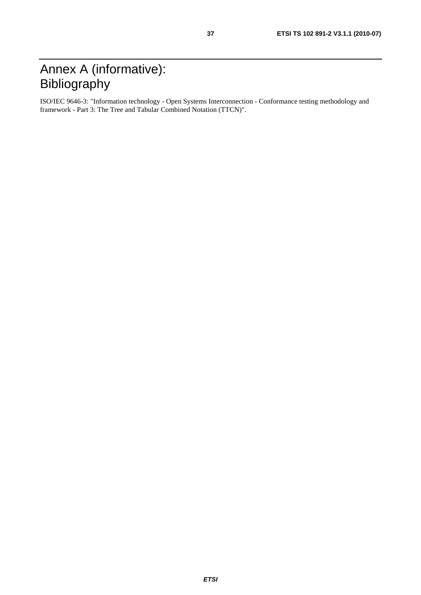# Annex A (informative): Bibliography

ISO/IEC 9646-3: "Information technology - Open Systems Interconnection - Conformance testing methodology and framework - Part 3: The Tree and Tabular Combined Notation (TTCN)".